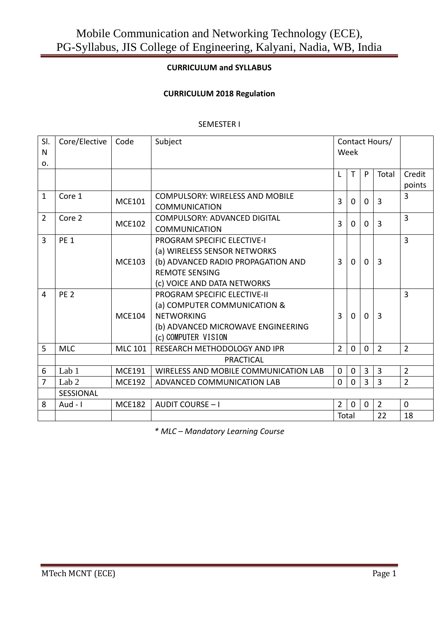#### **CURRICULUM and SYLLABUS**

#### **CURRICULUM 2018 Regulation**

#### SEMESTER I

| SI.<br>N<br>O <sub>1</sub> | Core/Elective   | Code           | Subject<br>Contact Hours/<br>Week                                                                                                                                |                |              |                |                |                  |
|----------------------------|-----------------|----------------|------------------------------------------------------------------------------------------------------------------------------------------------------------------|----------------|--------------|----------------|----------------|------------------|
|                            |                 |                |                                                                                                                                                                  | L              | T            | P              | Total          | Credit<br>points |
| $\mathbf{1}$               | Core 1          | <b>MCE101</b>  | <b>COMPULSORY: WIRELESS AND MOBILE</b><br><b>COMMUNICATION</b>                                                                                                   | 3              | 0            | 0              | 3              | 3                |
| $\overline{2}$             | Core 2          | <b>MCE102</b>  | COMPULSORY: ADVANCED DIGITAL<br><b>COMMUNICATION</b>                                                                                                             | 3              | $\Omega$     | 0              | 3              | $\overline{3}$   |
| 3                          | <b>PE 1</b>     | <b>MCE103</b>  | <b>PROGRAM SPECIFIC ELECTIVE-I</b><br>(a) WIRELESS SENSOR NETWORKS<br>(b) ADVANCED RADIO PROPAGATION AND<br><b>REMOTE SENSING</b><br>(c) VOICE AND DATA NETWORKS | 3              | $\Omega$     | $\Omega$       | 3              | 3                |
| 4                          | PE <sub>2</sub> | <b>MCE104</b>  | <b>PROGRAM SPECIFIC ELECTIVE-II</b><br>(a) COMPUTER COMMUNICATION &<br><b>NETWORKING</b><br>(b) ADVANCED MICROWAVE ENGINEERING<br>(c) COMPUTER VISION            | $\overline{3}$ | $\Omega$     | $\Omega$       | 3              | $\overline{3}$   |
| 5                          | <b>MLC</b>      | <b>MLC 101</b> | RESEARCH METHODOLOGY AND IPR                                                                                                                                     | $\overline{2}$ | $\Omega$     | $\mathbf{0}$   | $\overline{2}$ | $\overline{2}$   |
|                            |                 |                | <b>PRACTICAL</b>                                                                                                                                                 |                |              |                |                |                  |
| 6                          | Lab $1$         | <b>MCE191</b>  | WIRELESS AND MOBILE COMMUNICATION LAB                                                                                                                            | $\mathbf{0}$   | 0            | $\overline{3}$ | $\overline{3}$ | $\overline{2}$   |
| 7                          | Lab $2$         | <b>MCE192</b>  | ADVANCED COMMUNICATION LAB                                                                                                                                       | $\Omega$       | $\Omega$     | 3              | 3              | $\overline{2}$   |
|                            | SESSIONAL       |                |                                                                                                                                                                  |                |              |                |                |                  |
| 8                          | Aud - $\vert$   | <b>MCE182</b>  | <b>AUDIT COURSE - I</b>                                                                                                                                          | $\overline{2}$ | $\mathbf{0}$ | $\Omega$       | $\overline{2}$ | $\mathbf{0}$     |
|                            |                 |                |                                                                                                                                                                  | Total          |              |                | 22             | 18               |

*\* MLC – Mandatory Learning Course*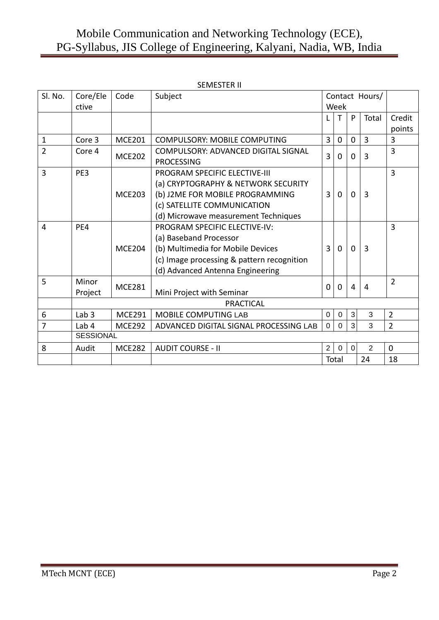|                |                  |               | SEMESTER II                                |                |                |                |                |                |
|----------------|------------------|---------------|--------------------------------------------|----------------|----------------|----------------|----------------|----------------|
| Sl. No.        | Core/Ele         | Code          | Subject                                    |                |                |                | Contact Hours/ |                |
|                | ctive            |               |                                            |                | Week           |                |                |                |
|                |                  |               |                                            |                | т              | P              | Total          | Credit         |
|                |                  |               |                                            |                |                |                |                | points         |
| 1              | Core 3           | <b>MCE201</b> | <b>COMPULSORY: MOBILE COMPUTING</b>        | $\overline{3}$ | $\overline{0}$ | $\mathbf{0}$   | $\overline{3}$ | 3              |
| $\overline{2}$ | Core 4           | <b>MCE202</b> | COMPULSORY: ADVANCED DIGITAL SIGNAL        | 3              | $\overline{0}$ | $\mathbf 0$    | 3              | $\overline{3}$ |
|                |                  |               | <b>PROCESSING</b>                          |                |                |                |                |                |
| $\overline{3}$ | PE3              |               | <b>PROGRAM SPECIFIC ELECTIVE-III</b>       |                |                |                |                | $\overline{3}$ |
|                |                  |               | (a) CRYPTOGRAPHY & NETWORK SECURITY        |                |                |                |                |                |
|                |                  | <b>MCE203</b> | (b) J2ME FOR MOBILE PROGRAMMING            | $\overline{3}$ | $\Omega$       | $\mathbf{0}$   | 3              |                |
|                |                  |               | (c) SATELLITE COMMUNICATION                |                |                |                |                |                |
|                |                  |               | (d) Microwave measurement Techniques       |                |                |                |                |                |
| 4              | PE4              |               | PROGRAM SPECIFIC ELECTIVE-IV:              |                |                |                |                | $\overline{3}$ |
|                |                  |               | (a) Baseband Processor                     |                |                |                |                |                |
|                |                  | <b>MCE204</b> | (b) Multimedia for Mobile Devices          | $\overline{3}$ | $\Omega$       | $\Omega$       | 3              |                |
|                |                  |               | (c) Image processing & pattern recognition |                |                |                |                |                |
|                |                  |               | (d) Advanced Antenna Engineering           |                |                |                |                |                |
| 5              | Minor            | <b>MCE281</b> |                                            | 0              |                |                |                | $\overline{2}$ |
|                | Project          |               | Mini Project with Seminar                  |                | $\overline{0}$ | 4              | 4              |                |
|                |                  |               | <b>PRACTICAL</b>                           |                |                |                |                |                |
| 6              | Lab <sub>3</sub> | <b>MCE291</b> | <b>MOBILE COMPUTING LAB</b>                | $\mathbf 0$    | $\mathbf 0$    | $\mathbf{3}$   | 3              | $\overline{2}$ |
| 7              | Lab <sub>4</sub> | <b>MCE292</b> | ADVANCED DIGITAL SIGNAL PROCESSING LAB     | $\Omega$       | $\Omega$       | 3              | 3              | $\overline{2}$ |
|                | <b>SESSIONAL</b> |               |                                            |                |                |                |                |                |
| 8              | Audit            | <b>MCE282</b> | <b>AUDIT COURSE - II</b>                   | $\overline{2}$ | $\mathbf 0$    | $\overline{0}$ | $\overline{2}$ | $\Omega$       |
|                |                  |               |                                            |                | Total          |                | 24             | 18             |

#### SEMESTER II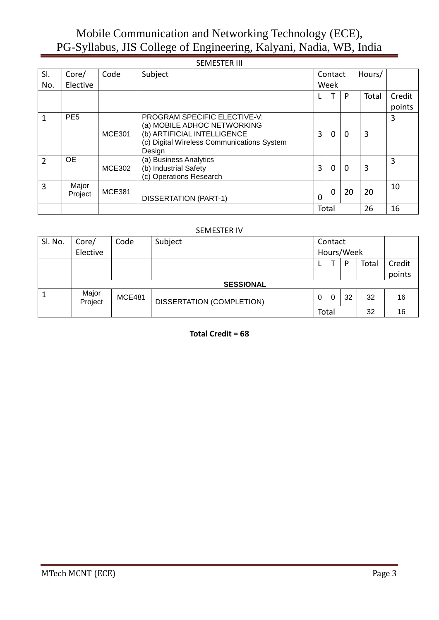|               |                  |               | <b>SEMESTER III</b>                                                                                                                                       |       |                   |          |       |        |
|---------------|------------------|---------------|-----------------------------------------------------------------------------------------------------------------------------------------------------------|-------|-------------------|----------|-------|--------|
| SI.           | Core/            | Code          | Subject                                                                                                                                                   |       | Hours/<br>Contact |          |       |        |
| No.           | Elective         |               |                                                                                                                                                           |       | Week              |          |       |        |
|               |                  |               |                                                                                                                                                           |       | $\mathsf{T}$      | P        | Total | Credit |
|               |                  |               |                                                                                                                                                           |       |                   |          |       | points |
| 1             | PE <sub>5</sub>  | <b>MCE301</b> | <b>PROGRAM SPECIFIC ELECTIVE-V:</b><br>(a) MOBILE ADHOC NETWORKING<br>(b) ARTIFICIAL INTELLIGENCE<br>(c) Digital Wireless Communications System<br>Design | 3     | $\Omega$          | $\Omega$ | 3     | 3      |
| $\mathfrak z$ | 0E               | <b>MCE302</b> | (a) Business Analytics<br>(b) Industrial Safety<br>(c) Operations Research                                                                                | 3     | $\Omega$          | $\Omega$ | 3     | 3      |
| 3             | Major<br>Project | <b>MCE381</b> | <b>DISSERTATION (PART-1)</b>                                                                                                                              | 0     | $\overline{0}$    | 20       | 20    | 10     |
|               |                  |               |                                                                                                                                                           | Total |                   |          | 26    | 16     |

#### SEMESTER IV

| SI. No. | Core/            | Code          | Subject                   |       | Contact |            |       |        |
|---------|------------------|---------------|---------------------------|-------|---------|------------|-------|--------|
|         | Elective         |               |                           |       |         | Hours/Week |       |        |
|         |                  |               |                           |       |         | P          | Total | Credit |
|         |                  |               |                           |       |         |            |       | points |
|         |                  |               | <b>SESSIONAL</b>          |       |         |            |       |        |
|         | Major<br>Project | <b>MCE481</b> | DISSERTATION (COMPLETION) | 0     | 0       | 32         | 32    | 16     |
|         |                  |               |                           | Total |         |            | 32    | 16     |

**Total Credit = 68**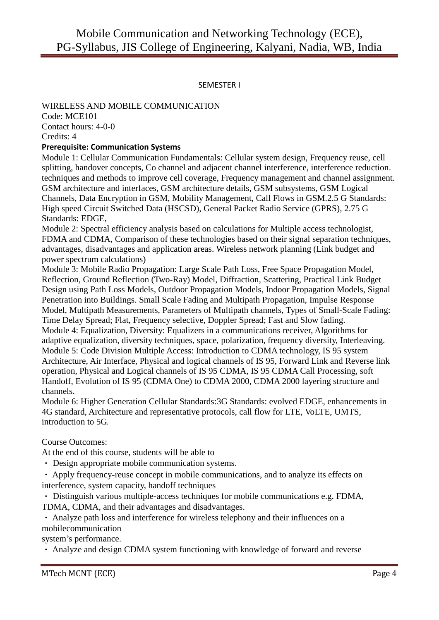#### SEMESTER I

# WIRELESS AND MOBILE COMMUNICATION

Code: MCE101 Contact hours: 4-0-0 Credits: 4

#### **Prerequisite: Communication Systems**

Module 1: Cellular Communication Fundamentals: Cellular system design, Frequency reuse, cell splitting, handover concepts, Co channel and adjacent channel interference, interference reduction. techniques and methods to improve cell coverage, Frequency management and channel assignment. GSM architecture and interfaces, GSM architecture details, GSM subsystems, GSM Logical Channels, Data Encryption in GSM, Mobility Management, Call Flows in GSM.2.5 G Standards: High speed Circuit Switched Data (HSCSD), General Packet Radio Service (GPRS), 2.75 G Standards: EDGE,

Module 2: Spectral efficiency analysis based on calculations for Multiple access technologist, FDMA and CDMA, Comparison of these technologies based on their signal separation techniques, advantages, disadvantages and application areas. Wireless network planning (Link budget and power spectrum calculations)

Module 3: Mobile Radio Propagation: Large Scale Path Loss, Free Space Propagation Model, Reflection, Ground Reflection (Two-Ray) Model, Diffraction, Scattering, Practical Link Budget Design using Path Loss Models, Outdoor Propagation Models, Indoor Propagation Models, Signal Penetration into Buildings. Small Scale Fading and Multipath Propagation, Impulse Response Model, Multipath Measurements, Parameters of Multipath channels, Types of Small-Scale Fading: Time Delay Spread; Flat, Frequency selective, Doppler Spread; Fast and Slow fading. Module 4: Equalization, Diversity: Equalizers in a communications receiver, Algorithms for adaptive equalization, diversity techniques, space, polarization, frequency diversity, Interleaving. Module 5: Code Division Multiple Access: Introduction to CDMA technology, IS 95 system Architecture, Air Interface, Physical and logical channels of IS 95, Forward Link and Reverse link operation, Physical and Logical channels of IS 95 CDMA, IS 95 CDMA Call Processing, soft Handoff, Evolution of IS 95 (CDMA One) to CDMA 2000, CDMA 2000 layering structure and channels.

Module 6: Higher Generation Cellular Standards:3G Standards: evolved EDGE, enhancements in 4G standard, Architecture and representative protocols, call flow for LTE, VoLTE, UMTS, introduction to 5G.

#### Course Outcomes:

At the end of this course, students will be able to

- Design appropriate mobile communication systems.
- Apply frequency-reuse concept in mobile communications, and to analyze its effects on interference, system capacity, handoff techniques

Distinguish various multiple-access techniques for mobile communications e.g. FDMA, TDMA, CDMA, and their advantages and disadvantages.

Analyze path loss and interference for wireless telephony and their influences on a mobilecommunication

system's performance.

Analyze and design CDMA system functioning with knowledge of forward and reverse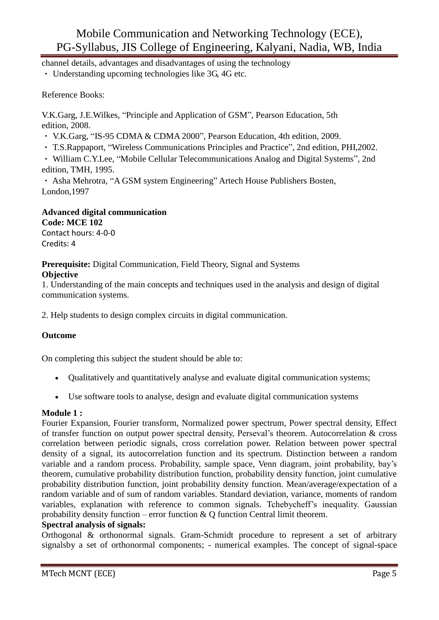channel details, advantages and disadvantages of using the technology

Understanding upcoming technologies like 3G, 4G etc.

#### Reference Books:

V.K.Garg, J.E.Wilkes, "Principle and Application of GSM", Pearson Education, 5th edition, 2008.

- V.K.Garg, "IS-95 CDMA & CDMA 2000", Pearson Education, 4th edition, 2009.
- T.S.Rappaport, "Wireless Communications Principles and Practice", 2nd edition, PHI,2002.

William C.Y.Lee, "Mobile Cellular Telecommunications Analog and Digital Systems", 2nd edition, TMH, 1995.

Asha Mehrotra, "A GSM system Engineering" Artech House Publishers Bosten, London,1997

### **Advanced digital communication Code: MCE 102**

Contact hours: 4-0-0 Credits: 4

**Prerequisite:** Digital Communication, Field Theory, Signal and Systems

#### **Objective**

1. Understanding of the main concepts and techniques used in the analysis and design of digital communication systems.

2. Help students to design complex circuits in digital communication.

#### **Outcome**

On completing this subject the student should be able to:

- Qualitatively and quantitatively analyse and evaluate digital communication systems;
- Use software tools to analyse, design and evaluate digital communication systems

#### **Module 1 :**

Fourier Expansion, Fourier transform, Normalized power spectrum, Power spectral density, Effect of transfer function on output power spectral density, Perseval's theorem. Autocorrelation & cross correlation between periodic signals, cross correlation power. Relation between power spectral density of a signal, its autocorrelation function and its spectrum. Distinction between a random variable and a random process. Probability, sample space, Venn diagram, joint probability, bay's theorem, cumulative probability distribution function, probability density function, joint cumulative probability distribution function, joint probability density function. Mean/average/expectation of a random variable and of sum of random variables. Standard deviation, variance, moments of random variables, explanation with reference to common signals. Tchebycheff's inequality. Gaussian probability density function – error function  $\& O$  function Central limit theorem.

#### **Spectral analysis of signals:**

Orthogonal & orthonormal signals. Gram-Schmidt procedure to represent a set of arbitrary signalsby a set of orthonormal components; - numerical examples. The concept of signal-space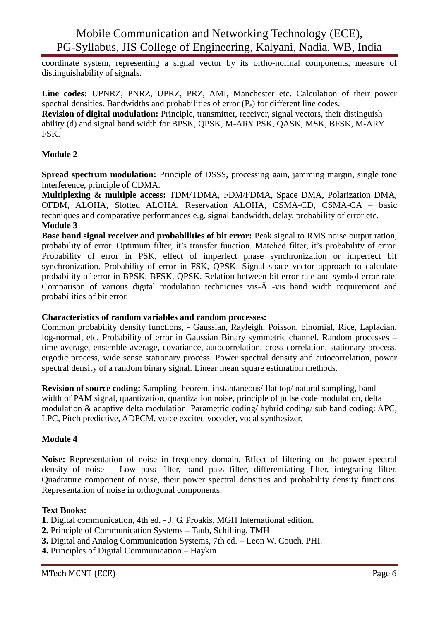coordinate system, representing a signal vector by its ortho-normal components, measure of distinguishability of signals.

**Line codes:** UPNRZ, PNRZ, UPRZ, PRZ, AMI, Manchester etc. Calculation of their power spectral densities. Bandwidths and probabilities of error (P<sub>e</sub>) for different line codes. **Revision of digital modulation:** Principle, transmitter, receiver, signal vectors, their distinguish ability (d) and signal band width for BPSK, QPSK, M-ARY PSK, QASK, MSK, BFSK, M-ARY FSK.

#### **Module 2**

**Spread spectrum modulation:** Principle of DSSS, processing gain, jamming margin, single tone interference, principle of CDMA.

**Multiplexing & multiple access:** TDM/TDMA, FDM/FDMA, Space DMA, Polarization DMA, OFDM, ALOHA, Slotted ALOHA, Reservation ALOHA, CSMA-CD, CSMA-CA – basic techniques and comparative performances e.g. signal bandwidth, delay, probability of error etc. **Module 3**

**Base band signal receiver and probabilities of bit error:** Peak signal to RMS noise output ration, probability of error. Optimum filter, it's transfer function. Matched filter, it's probability of error. Probability of error in PSK, effect of imperfect phase synchronization or imperfect bit synchronization. Probability of error in FSK, QPSK. Signal space vector approach to calculate probability of error in BPSK, BFSK, QPSK. Relation between bit error rate and symbol error rate. Comparison of various digital modulation techniques vis-Ã -vis band width requirement and probabilities of bit error.

#### **Characteristics of random variables and random processes:**

Common probability density functions, - Gaussian, Rayleigh, Poisson, binomial, Rice, Laplacian, log-normal, etc. Probability of error in Gaussian Binary symmetric channel. Random processes – time average, ensemble average, covariance, autocorrelation, cross correlation, stationary process, ergodic process, wide sense stationary process. Power spectral density and autocorrelation, power spectral density of a random binary signal. Linear mean square estimation methods.

**Revision of source coding:** Sampling theorem, instantaneous/ flat top/ natural sampling, band width of PAM signal, quantization, quantization noise, principle of pulse code modulation, delta modulation & adaptive delta modulation. Parametric coding/ hybrid coding/ sub band coding: APC, LPC, Pitch predictive, ADPCM, voice excited vocoder, vocal synthesizer.

#### **Module 4**

**Noise:** Representation of noise in frequency domain. Effect of filtering on the power spectral density of noise – Low pass filter, band pass filter, differentiating filter, integrating filter. Quadrature component of noise, their power spectral densities and probability density functions. Representation of noise in orthogonal components.

#### **Text Books:**

- **1.** Digital communication, 4th ed. J. G. Proakis, MGH International edition.
- **2.** Principle of Communication Systems Taub, Schilling, TMH
- **3.** Digital and Analog Communication Systems, 7th ed. Leon W. Couch, PHI.
- **4.** Principles of Digital Communication Haykin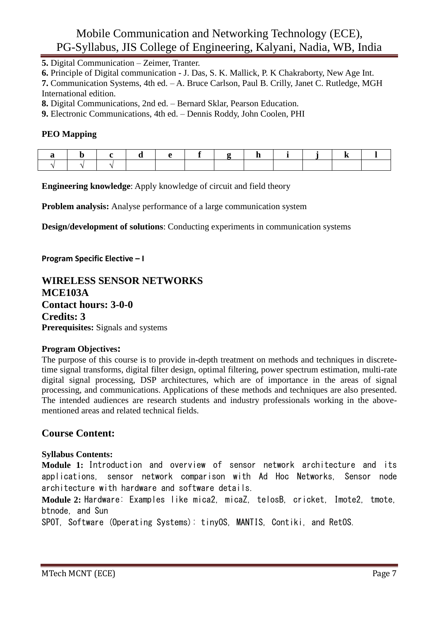**5.** Digital Communication – Zeimer, Tranter.

**6.** Principle of Digital communication - J. Das, S. K. Mallick, P. K Chakraborty, New Age Int.

**7.** Communication Systems, 4th ed. – A. Bruce Carlson, Paul B. Crilly, Janet C. Rutledge, MGH International edition.

**8.** Digital Communications, 2nd ed. – Bernard Sklar, Pearson Education.

**9.** Electronic Communications, 4th ed. – Dennis Roddy, John Coolen, PHI

#### **PEO Mapping**

**Engineering knowledge:** Apply knowledge of circuit and field theory

**Problem analysis:** Analyse performance of a large communication system

**Design/development of solutions**: Conducting experiments in communication systems

**Program Specific Elective – I**

#### **WIRELESS SENSOR NETWORKS MCE103A Contact hours: 3-0-0 Credits: 3 Prerequisites:** Signals and systems

#### **Program Objectives:**

The purpose of this course is to provide in-depth treatment on methods and techniques in discretetime signal transforms, digital filter design, optimal filtering, power spectrum estimation, multi-rate digital signal processing, DSP architectures, which are of importance in the areas of signal processing, and communications. Applications of these methods and techniques are also presented. The intended audiences are research students and industry professionals working in the abovementioned areas and related technical fields.

#### **Course Content:**

#### **Syllabus Contents:**

**Module 1:** Introduction and overview of sensor network architecture and its applications, sensor network comparison with Ad Hoc Networks, Sensor node architecture with hardware and software details.

**Module 2:** Hardware: Examples like mica2, micaZ, telosB, cricket, Imote2, tmote, btnode, and Sun

SPOT, Software (Operating Systems): tinyOS, MANTIS, Contiki, and RetOS.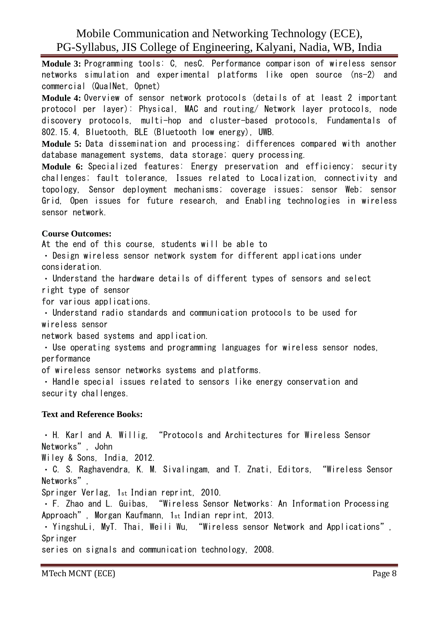**Module 3:** Programming tools: C, nesC. Performance comparison of wireless sensor networks simulation and experimental platforms like open source (ns-2) and commercial (QualNet, Opnet)

**Module 4:** Overview of sensor network protocols (details of at least 2 important protocol per layer): Physical, MAC and routing/ Network layer protocols, node discovery protocols, multi-hop and cluster-based protocols, Fundamentals of 802.15.4, Bluetooth, BLE (Bluetooth low energy), UWB.

**Module 5:** Data dissemination and processing; differences compared with another database management systems, data storage; query processing.

**Module 6:** Specialized features: Energy preservation and efficiency; security challenges; fault tolerance, Issues related to Localization, connectivity and topology, Sensor deployment mechanisms; coverage issues; sensor Web; sensor Grid, Open issues for future research, and Enabling technologies in wireless sensor network.

#### **Course Outcomes:**

At the end of this course, students will be able to

Design wireless sensor network system for different applications under consideration.

Understand the hardware details of different types of sensors and select right type of sensor

for various applications.

Understand radio standards and communication protocols to be used for wireless sensor

network based systems and application.

Use operating systems and programming languages for wireless sensor nodes, performance

of wireless sensor networks systems and platforms.

Handle special issues related to sensors like energy conservation and security challenges.

#### **Text and Reference Books:**

H. Karl and A. Willig, "Protocols and Architectures for Wireless Sensor Networks", John

Wiley & Sons, India, 2012.

C. S. Raghavendra, K. M. Sivalingam, and T. Znati, Editors, "Wireless Sensor Networks",

Springer Verlag, 1st Indian reprint, 2010.

F. Zhao and L. Guibas, "Wireless Sensor Networks: An Information Processing Approach", Morgan Kaufmann, 1st Indian reprint, 2013.

YingshuLi, MyT. Thai, Weili Wu, "Wireless sensor Network and Applications", Springer

series on signals and communication technology, 2008.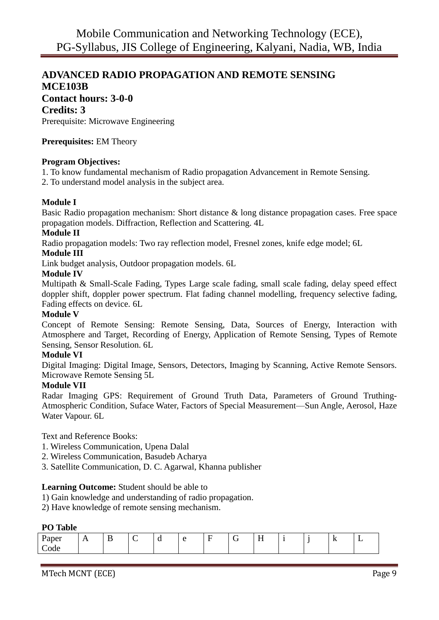# **ADVANCED RADIO PROPAGATION AND REMOTE SENSING MCE103B Contact hours: 3-0-0**

#### **Credits: 3**

Prerequisite: Microwave Engineering

#### **Prerequisites:** EM Theory

#### **Program Objectives:**

1. To know fundamental mechanism of Radio propagation Advancement in Remote Sensing.

2. To understand model analysis in the subject area.

#### **Module I**

Basic Radio propagation mechanism: Short distance & long distance propagation cases. Free space propagation models. Diffraction, Reflection and Scattering. 4L

#### **Module II**

Radio propagation models: Two ray reflection model, Fresnel zones, knife edge model; 6L

#### **Module III**

Link budget analysis, Outdoor propagation models. 6L

#### **Module IV**

Multipath & Small-Scale Fading, Types Large scale fading, small scale fading, delay speed effect doppler shift, doppler power spectrum. Flat fading channel modelling, frequency selective fading, Fading effects on device. 6L

#### **Module V**

Concept of Remote Sensing: Remote Sensing, Data, Sources of Energy, Interaction with Atmosphere and Target, Recording of Energy, Application of Remote Sensing, Types of Remote Sensing, Sensor Resolution. 6L

#### **Module VI**

Digital Imaging: Digital Image, Sensors, Detectors, Imaging by Scanning, Active Remote Sensors. Microwave Remote Sensing 5L

#### **Module VII**

Radar Imaging GPS: Requirement of Ground Truth Data, Parameters of Ground Truthing-Atmospheric Condition, Suface Water, Factors of Special Measurement—Sun Angle, Aerosol, Haze Water Vapour. 6L

Text and Reference Books:

- 1. Wireless Communication, Upena Dalal
- 2. Wireless Communication, Basudeb Acharya
- 3. Satellite Communication, D. C. Agarwal, Khanna publisher

#### **Learning Outcome:** Student should be able to

- 1) Gain knowledge and understanding of radio propagation.
- 2) Have knowledge of remote sensing mechanism.

#### **PO Table**

| ~<br>. .<br>- | $\ddot{\phantom{1}}$ | $\overline{\phantom{0}}$ | $-$ |  | $ -$<br>_<br>$\ddot{\phantom{0}}$ |  | $\mathbf{r}$ | — |
|---------------|----------------------|--------------------------|-----|--|-----------------------------------|--|--------------|---|
|               |                      |                          |     |  |                                   |  |              |   |

MTech MCNT (ECE) Page 9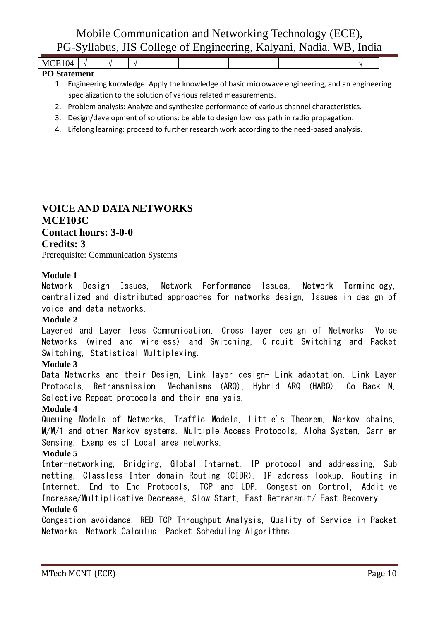| $M_{\bullet}$<br>৸<br>.     |  |  |  |  |  |  |  |
|-----------------------------|--|--|--|--|--|--|--|
| $\sim$ $\sim$ $\sim$ $\sim$ |  |  |  |  |  |  |  |

#### **PO Statement**

- 1. Engineering knowledge: Apply the knowledge of basic microwave engineering, and an engineering specialization to the solution of various related measurements.
- 2. Problem analysis: Analyze and synthesize performance of various channel characteristics.
- 3. Design/development of solutions: be able to design low loss path in radio propagation.
- 4. Lifelong learning: proceed to further research work according to the need-based analysis.

#### **VOICE AND DATA NETWORKS MCE103C Contact hours: 3-0-0 Credits: 3**

Prerequisite: Communication Systems

#### **Module 1**

Network Design Issues, Network Performance Issues, Network Terminology, centralized and distributed approaches for networks design, Issues in design of voice and data networks.

#### **Module 2**

Layered and Layer less Communication, Cross layer design of Networks, Voice Networks (wired and wireless) and Switching, Circuit Switching and Packet Switching, Statistical Multiplexing.

#### **Module 3**

Data Networks and their Design, Link layer design- Link adaptation, Link Layer Protocols, Retransmission. Mechanisms (ARQ), Hybrid ARQ (HARQ), Go Back N, Selective Repeat protocols and their analysis.

#### **Module 4**

Queuing Models of Networks, Traffic Models, Little's Theorem, Markov chains, M/M/1 and other Markov systems, Multiple Access Protocols, Aloha System, Carrier Sensing, Examples of Local area networks,

#### **Module 5**

Inter-networking, Bridging, Global Internet, IP protocol and addressing, Sub netting, Classless Inter domain Routing (CIDR), IP address lookup, Routing in Internet. End to End Protocols, TCP and UDP. Congestion Control, Additive Increase/Multiplicative Decrease, Slow Start, Fast Retransmit/ Fast Recovery.

#### **Module 6**

Congestion avoidance, RED TCP Throughput Analysis, Quality of Service in Packet Networks. Network Calculus, Packet Scheduling Algorithms.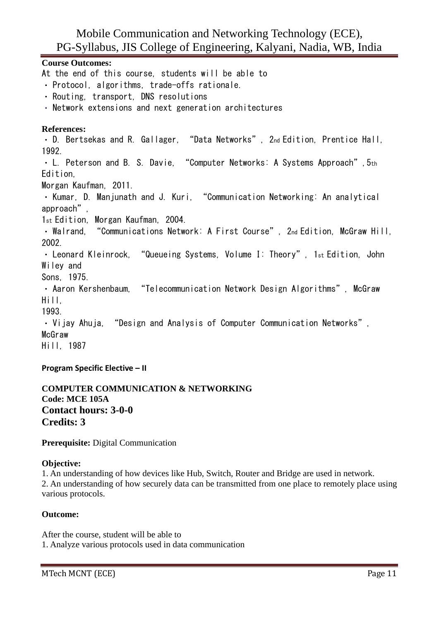**Course Outcomes:** At the end of this course, students will be able to · Protocol, algorithms, trade-offs rationale. Routing, transport, DNS resolutions Network extensions and next generation architectures **References:** D. Bertsekas and R. Gallager, "Data Networks", 2nd Edition, Prentice Hall, 1992. L. Peterson and B. S. Davie. "Computer Networks: A Systems Approach". 5th Edition, Morgan Kaufman, 2011. · Kumar, D. Manjunath and J. Kuri, "Communication Networking: An analytical approach", 1st Edition, Morgan Kaufman, 2004. Walrand, "Communications Network: A First Course", 2nd Edition, McGraw Hill, 2002. • Leonard Kleinrock, "Queueing Systems, Volume I: Theory", 1st Edition, John Wiley and Sons, 1975. • Aaron Kershenbaum, "Telecommunication Network Design Algorithms", McGraw Hill, 1993. Vijay Ahuja, "Design and Analysis of Computer Communication Networks", McGraw Hill, 1987

**Program Specific Elective – II**

**COMPUTER COMMUNICATION & NETWORKING Code: MCE 105A Contact hours: 3-0-0 Credits: 3**

**Prerequisite:** Digital Communication

#### **Objective:**

1. An understanding of how devices like Hub, Switch, Router and Bridge are used in network. 2. An understanding of how securely data can be transmitted from one place to remotely place using various protocols.

#### **Outcome:**

After the course, student will be able to 1. Analyze various protocols used in data communication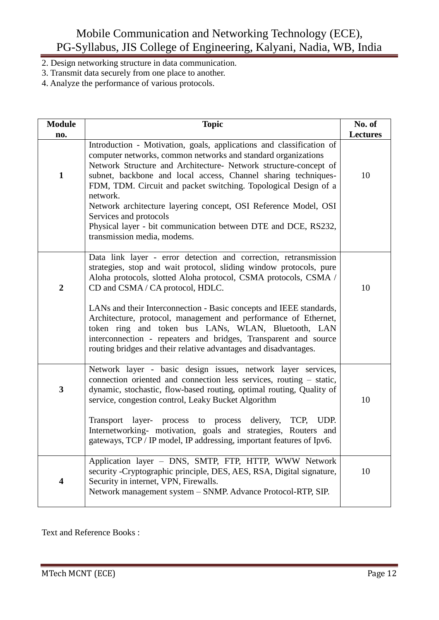- 2. Design networking structure in data communication.
- 3. Transmit data securely from one place to another.
- 4. Analyze the performance of various protocols.

| <b>Module</b>           | <b>Topic</b>                                                                                                                                                                                                                                                                                                                                                                                                                                                                                                                                                                          | No. of          |
|-------------------------|---------------------------------------------------------------------------------------------------------------------------------------------------------------------------------------------------------------------------------------------------------------------------------------------------------------------------------------------------------------------------------------------------------------------------------------------------------------------------------------------------------------------------------------------------------------------------------------|-----------------|
| no.                     |                                                                                                                                                                                                                                                                                                                                                                                                                                                                                                                                                                                       | <b>Lectures</b> |
| $\mathbf{1}$            | Introduction - Motivation, goals, applications and classification of<br>computer networks, common networks and standard organizations<br>Network Structure and Architecture- Network structure-concept of<br>subnet, backbone and local access, Channel sharing techniques-<br>FDM, TDM. Circuit and packet switching. Topological Design of a<br>network.<br>Network architecture layering concept, OSI Reference Model, OSI<br>Services and protocols<br>Physical layer - bit communication between DTE and DCE, RS232,<br>transmission media, modems.                              | 10              |
| $\boldsymbol{2}$        | Data link layer - error detection and correction, retransmission<br>strategies, stop and wait protocol, sliding window protocols, pure<br>Aloha protocols, slotted Aloha protocol, CSMA protocols, CSMA /<br>CD and CSMA / CA protocol, HDLC.<br>LANs and their Interconnection - Basic concepts and IEEE standards,<br>Architecture, protocol, management and performance of Ethernet,<br>token ring and token bus LANs, WLAN, Bluetooth, LAN<br>interconnection - repeaters and bridges, Transparent and source<br>routing bridges and their relative advantages and disadvantages. | 10              |
| 3                       | Network layer - basic design issues, network layer services,<br>connection oriented and connection less services, routing – static,<br>dynamic, stochastic, flow-based routing, optimal routing, Quality of<br>service, congestion control, Leaky Bucket Algorithm<br>process to process delivery,<br>TCP, UDP.<br><b>Transport</b><br>layer-<br>Internetworking- motivation, goals and strategies, Routers and<br>gateways, TCP / IP model, IP addressing, important features of Ipv6.                                                                                               | 10              |
| $\overline{\mathbf{4}}$ | Application layer - DNS, SMTP, FTP, HTTP, WWW Network<br>security - Cryptographic principle, DES, AES, RSA, Digital signature,<br>Security in internet, VPN, Firewalls.<br>Network management system - SNMP. Advance Protocol-RTP, SIP.                                                                                                                                                                                                                                                                                                                                               | 10              |

Text and Reference Books :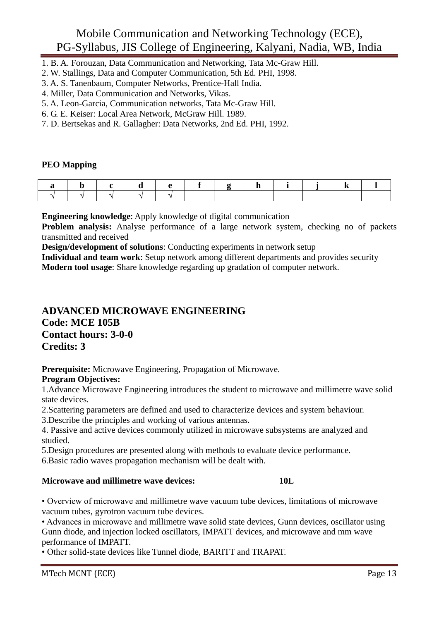- 1. B. A. Forouzan, Data Communication and Networking, Tata Mc-Graw Hill.
- 2. W. Stallings, Data and Computer Communication, 5th Ed. PHI, 1998.
- 3. A. S. Tanenbaum, Computer Networks, Prentice-Hall India.
- 4. Miller, Data Communication and Networks, Vikas.
- 5. A. Leon-Garcia, Communication networks, Tata Mc-Graw Hill.
- 6. G. E. Keiser: Local Area Network, McGraw Hill. 1989.
- 7. D. Bertsekas and R. Gallagher: Data Networks, 2nd Ed. PHI, 1992.

#### **PEO Mapping**

**Engineering knowledge**: Apply knowledge of digital communication

**Problem analysis:** Analyse performance of a large network system, checking no of packets transmitted and received

**Design/development of solutions**: Conducting experiments in network setup

**Individual and team work**: Setup network among different departments and provides security **Modern tool usage**: Share knowledge regarding up gradation of computer network.

#### **ADVANCED MICROWAVE ENGINEERING Code: MCE 105B Contact hours: 3-0-0 Credits: 3**

**Prerequisite:** Microwave Engineering, Propagation of Microwave.

#### **Program Objectives:**

1.Advance Microwave Engineering introduces the student to microwave and millimetre wave solid state devices.

2.Scattering parameters are defined and used to characterize devices and system behaviour.

3.Describe the principles and working of various antennas.

4. Passive and active devices commonly utilized in microwave subsystems are analyzed and studied.

5.Design procedures are presented along with methods to evaluate device performance.

6.Basic radio waves propagation mechanism will be dealt with.

#### **Microwave and millimetre wave devices: 10L**

• Overview of microwave and millimetre wave vacuum tube devices, limitations of microwave vacuum tubes, gyrotron vacuum tube devices.

• Advances in microwave and millimetre wave solid state devices, Gunn devices, oscillator using Gunn diode, and injection locked oscillators, IMPATT devices, and microwave and mm wave performance of IMPATT.

• Other solid-state devices like Tunnel diode, BARITT and TRAPAT.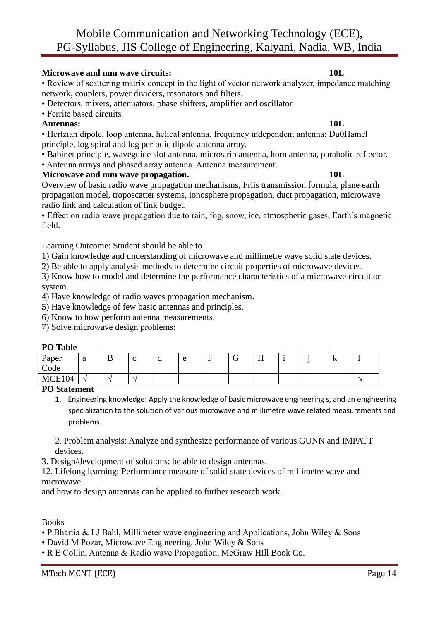#### **Microwave and mm wave circuits: 10L**

• Review of scattering matrix concept in the light of vector network analyzer, impedance matching network, couplers, power dividers, resonators and filters.

- Detectors, mixers, attenuators, phase shifters, amplifier and oscillator
- Ferrite based circuits.

#### **Antennas: 10L**

• Hertzian dipole, loop antenna, helical antenna, frequency independent antenna: Du0Hamel principle, log spiral and log periodic dipole antenna array.

• Babinet principle, waveguide slot antenna, microstrip antenna, horn antenna, parabolic reflector.

• Antenna arrays and phased array antenna. Antenna measurement.

#### **Microwave and mm wave propagation. 10L**

Overview of basic radio wave propagation mechanisms, Friis transmission formula, plane earth propagation model, troposcatter systems, ionosphere propagation, duct propagation, microwave radio link and calculation of link budget.

• Effect on radio wave propagation due to rain, fog, snow, ice, atmospheric gases, Earth's magnetic field.

Learning Outcome: Student should be able to

1) Gain knowledge and understanding of microwave and millimetre wave solid state devices.

2) Be able to apply analysis methods to determine circuit properties of microwave devices.

3) Know how to model and determine the performance characteristics of a microwave circuit or system.

4) Have knowledge of radio waves propagation mechanism.

5) Have knowledge of few basic antennas and principles.

6) Know to how perform antenna measurements.

7) Solve microwave design problems:

#### **PO Table**

| Paper<br>Code | $\sim$<br>u | ് | $\sqrt{2}$ | ս | $\sqrt{2}$ | $\overline{\phantom{0}}$ | TТ<br>H |  | 17 |  |
|---------------|-------------|---|------------|---|------------|--------------------------|---------|--|----|--|
| MCE104        |             |   | ۰          |   |            |                          |         |  |    |  |

#### **PO Statement**

1. Engineering knowledge: Apply the knowledge of basic microwave engineering s, and an engineering specialization to the solution of various microwave and millimetre wave related measurements and problems.

2. Problem analysis: Analyze and synthesize performance of various GUNN and IMPATT devices.

3. Design/development of solutions: be able to design antennas.

12. Lifelong learning: Performance measure of solid-state devices of millimetre wave and microwave

and how to design antennas can be applied to further research work.

Books

- P Bhartia & I J Bahl, Millimeter wave engineering and Applications, John Wiley & Sons
- David M Pozar, Microwave Engineering, John Wiley & Sons
- R E Collin, Antenna & Radio wave Propagation, McGraw Hill Book Co.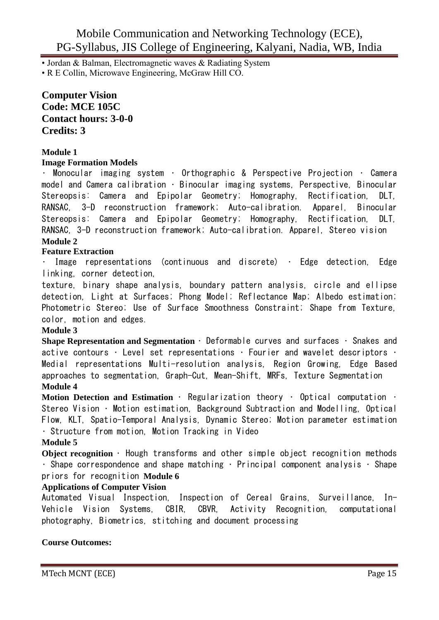• Jordan & Balman, Electromagnetic waves & Radiating System

• R E Collin, Microwave Engineering, McGraw Hill CO.

#### **Computer Vision Code: MCE 105C Contact hours: 3-0-0 Credits: 3**

#### **Module 1**

#### **Image Formation Models**

Monocular imaging system • Orthographic & Perspective Projection • Camera model and Camera calibration • Binocular imaging systems, Perspective, Binocular Stereopsis: Camera and Epipolar Geometry; Homography, Rectification, DLT, RANSAC, 3-D reconstruction framework; Auto-calibration. Apparel, Binocular Stereopsis: Camera and Epipolar Geometry; Homography, Rectification, DLT, RANSAC, 3-D reconstruction framework; Auto-calibration. Apparel, Stereo vision **Module 2**

#### **Feature Extraction**

• Image representations (continuous and discrete) • Edge detection, Edge linking, corner detection,

texture, binary shape analysis, boundary pattern analysis, circle and ellipse detection, Light at Surfaces; Phong Model; Reflectance Map; Albedo estimation; Photometric Stereo; Use of Surface Smoothness Constraint; Shape from Texture, color, motion and edges.

#### **Module 3**

**Shape Representation and Segmentation** • Deformable curves and surfaces • Snakes and active contours  $\cdot$  Level set representations  $\cdot$  Fourier and wavelet descriptors  $\cdot$ Medial representations Multi-resolution analysis, Region Growing, Edge Based approaches to segmentation, Graph-Cut, Mean-Shift, MRFs, Texture Segmentation **Module 4**

**Motion Detection and Estimation** • Regularization theory • Optical computation • Stereo Vision • Motion estimation, Background Subtraction and Modelling, Optical Flow, KLT, Spatio-Temporal Analysis, Dynamic Stereo; Motion parameter estimation • Structure from motion, Motion Tracking in Video

#### **Module 5**

**Object recognition** • Hough transforms and other simple object recognition methods • Shape correspondence and shape matching • Principal component analysis • Shape priors for recognition **Module 6**

#### **Applications of Computer Vision**

Automated Visual Inspection, Inspection of Cereal Grains, Surveillance, In-Vehicle Vision Systems, CBIR, CBVR, Activity Recognition, computational photography, Biometrics, stitching and document processing

#### **Course Outcomes:**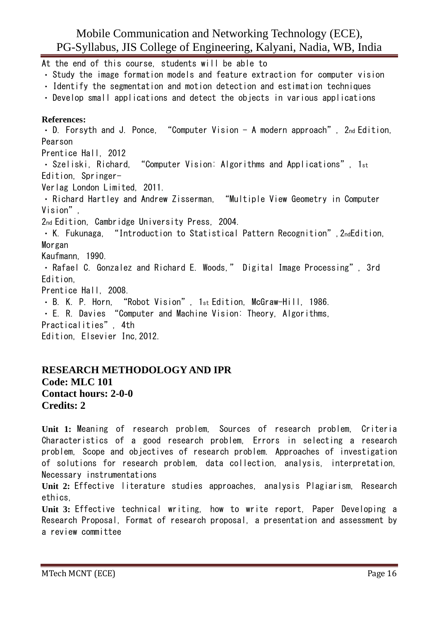At the end of this course, students will be able to Study the image formation models and feature extraction for computer vision Identify the segmentation and motion detection and estimation techniques Develop small applications and detect the objects in various applications **References:** D. Forsyth and J. Ponce, "Computer Vision - A modern approach", 2nd Edition, Pearson Prentice Hall, 2012  $\cdot$  Szeliski, Richard, "Computer Vision: Algorithms and Applications", 1st Edition, Springer-Verlag London Limited, 2011. Richard Hartley and Andrew Zisserman, "Multiple View Geometry in Computer Vision", 2nd Edition, Cambridge University Press, 2004. K. Fukunaga, "Introduction to Statistical Pattern Recognition",2ndEdition, Morgan Kaufmann, 1990. Rafael C. Gonzalez and Richard E. Woods," Digital Image Processing", 3rd Edition, Prentice Hall, 2008. B. K. P. Horn, "Robot Vision", 1st Edition, McGraw-Hill, 1986. E. R. Davies "Computer and Machine Vision: Theory, Algorithms, Practicalities", 4th Edition, Elsevier Inc,2012.

#### **RESEARCH METHODOLOGY AND IPR Code: MLC 101 Contact hours: 2-0-0 Credits: 2**

**Unit 1:** Meaning of research problem, Sources of research problem, Criteria Characteristics of a good research problem, Errors in selecting a research problem, Scope and objectives of research problem. Approaches of investigation of solutions for research problem, data collection, analysis, interpretation, Necessary instrumentations

**Unit 2:** Effective literature studies approaches, analysis Plagiarism, Research ethics,

**Unit 3:** Effective technical writing, how to write report, Paper Developing a Research Proposal, Format of research proposal, a presentation and assessment by a review committee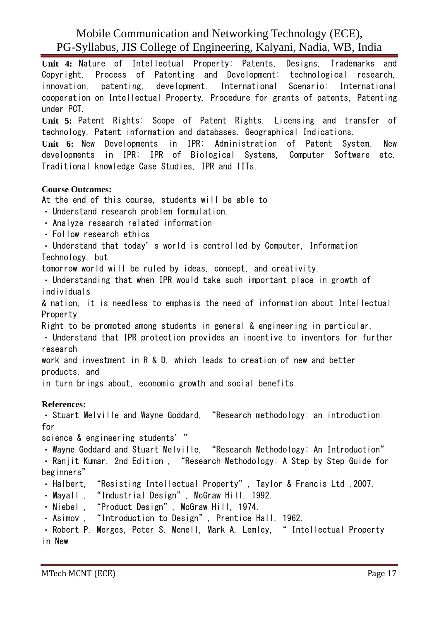**Unit 4:** Nature of Intellectual Property: Patents, Designs, Trademarks and Copyright. Process of Patenting and Development: technological research, innovation, patenting, development. International Scenario: International cooperation on Intellectual Property. Procedure for grants of patents, Patenting under PCT.

**Unit 5:** Patent Rights: Scope of Patent Rights. Licensing and transfer of technology. Patent information and databases. Geographical Indications.

**Unit 6:** New Developments in IPR: Administration of Patent System. New developments in IPR; IPR of Biological Systems, Computer Software etc. Traditional knowledge Case Studies, IPR and IITs.

#### **Course Outcomes:**

At the end of this course, students will be able to

Understand research problem formulation.

- Analyze research related information
- Follow research ethics
- Understand that today's world is controlled by Computer, Information Technology, but

tomorrow world will be ruled by ideas, concept, and creativity.

Understanding that when IPR would take such important place in growth of individuals

& nation, it is needless to emphasis the need of information about Intellectual Property

Right to be promoted among students in general & engineering in particular.

Understand that IPR protection provides an incentive to inventors for further research

work and investment in R & D, which leads to creation of new and better products, and

in turn brings about, economic growth and social benefits.

#### **References:**

Stuart Melville and Wayne Goddard, "Research methodology: an introduction for

science & engineering students'"

. Wayne Goddard and Stuart Melville, "Research Methodology: An Introduction"

Ranjit Kumar, 2nd Edition , "Research Methodology: A Step by Step Guide for beginners"

- Halbert, "Resisting Intellectual Property", Taylor & Francis Ltd ,2007.
- Mayall , "Industrial Design", McGraw Hill, 1992.
- Niebel , "Product Design", McGraw Hill, 1974.
- Asimov , "Introduction to Design", Prentice Hall, 1962.
- Robert P. Merges, Peter S. Menell, Mark A. Lemley, "Intellectual Property in New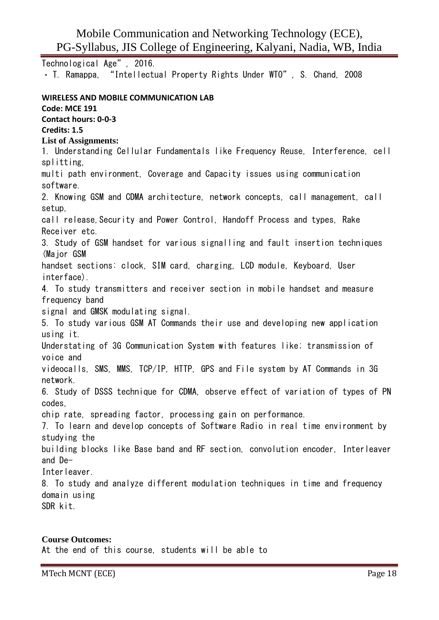Technological Age", 2016.

T. Ramappa, "Intellectual Property Rights Under WTO", S. Chand, 2008

#### **WIRELESS AND MOBILE COMMUNICATION LAB Code: MCE 191 Contact hours: 0-0-3 Credits: 1.5 List of Assignments:** 1. Understanding Cellular Fundamentals like Frequency Reuse, Interference, cell splitting, multi path environment, Coverage and Capacity issues using communication software. 2. Knowing GSM and CDMA architecture, network concepts, call management, call setup, call release, Security and Power Control, Handoff Process and types, Rake Receiver etc. 3. Study of GSM handset for various signalling and fault insertion techniques (Major GSM handset sections: clock, SIM card, charging, LCD module, Keyboard, User interface). 4. To study transmitters and receiver section in mobile handset and measure frequency band signal and GMSK modulating signal. 5. To study various GSM AT Commands their use and developing new application using it. Understating of 3G Communication System with features like; transmission of voice and videocalls, SMS, MMS, TCP/IP, HTTP, GPS and File system by AT Commands in 3G network. 6. Study of DSSS technique for CDMA, observe effect of variation of types of PN codes, chip rate, spreading factor, processing gain on performance. 7. To learn and develop concepts of Software Radio in real time environment by studying the building blocks like Base band and RF section, convolution encoder, Interleaver and De-**Interleaver** 8. To study and analyze different modulation techniques in time and frequency domain using SDR kit.

#### **Course Outcomes:**

At the end of this course, students will be able to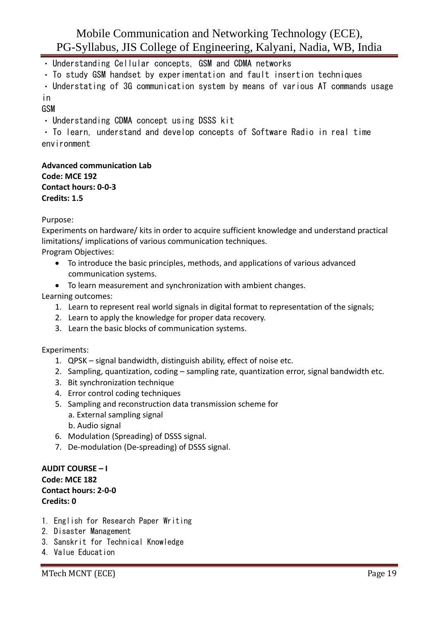- Understanding Cellular concepts, GSM and CDMA networks
- To study GSM handset by experimentation and fault insertion techniques

Understating of 3G communication system by means of various AT commands usage in

#### GSM

Understanding CDMA concept using DSSS kit

To learn, understand and develop concepts of Software Radio in real time environment

**Advanced communication Lab Code: MCE 192 Contact hours: 0-0-3 Credits: 1.5**

#### Purpose:

Experiments on hardware/ kits in order to acquire sufficient knowledge and understand practical limitations/ implications of various communication techniques.

Program Objectives:

- To introduce the basic principles, methods, and applications of various advanced communication systems.
- To learn measurement and synchronization with ambient changes.

#### Learning outcomes:

- 1. Learn to represent real world signals in digital format to representation of the signals;
- 2. Learn to apply the knowledge for proper data recovery.
- 3. Learn the basic blocks of communication systems.

#### Experiments:

- 1. QPSK signal bandwidth, distinguish ability, effect of noise etc.
- 2. Sampling, quantization, coding sampling rate, quantization error, signal bandwidth etc.
- 3. Bit synchronization technique
- 4. Error control coding techniques
- 5. Sampling and reconstruction data transmission scheme for
	- a. External sampling signal
	- b. Audio signal
- 6. Modulation (Spreading) of DSSS signal.
- 7. De-modulation (De-spreading) of DSSS signal.

#### **AUDIT COURSE – I Code: MCE 182 Contact hours: 2-0-0 Credits: 0**

- 1. English for Research Paper Writing
- 2. Disaster Management
- 3. Sanskrit for Technical Knowledge
- 4. Value Education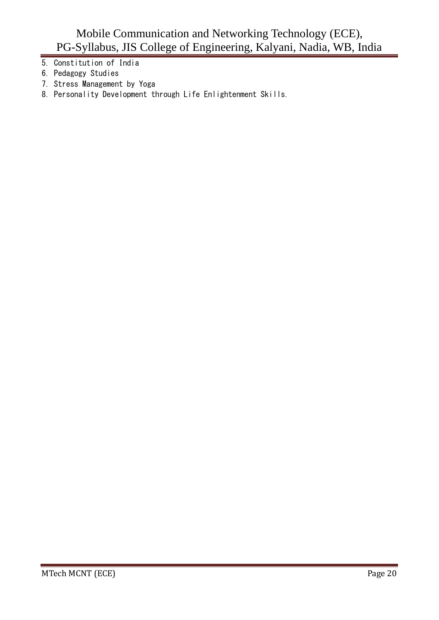- 5. Constitution of India
- 6. Pedagogy Studies
- 7. Stress Management by Yoga
- 8. Personality Development through Life Enlightenment Skills.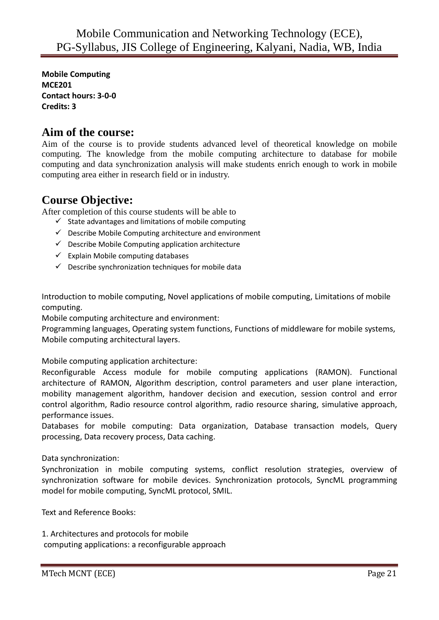**Mobile Computing MCE201 Contact hours: 3-0-0 Credits: 3**

## **Aim of the course:**

Aim of the course is to provide students advanced level of theoretical knowledge on mobile computing. The knowledge from the mobile computing architecture to database for mobile computing and data synchronization analysis will make students enrich enough to work in mobile computing area either in research field or in industry.

# **Course Objective:**

After completion of this course students will be able to

- $\checkmark$  State advantages and limitations of mobile computing
- $\checkmark$  Describe Mobile Computing architecture and environment
- $\checkmark$  Describe Mobile Computing application architecture
- $\checkmark$  Explain Mobile computing databases
- $\checkmark$  Describe synchronization techniques for mobile data

Introduction to mobile computing, Novel applications of mobile computing, Limitations of mobile computing.

Mobile computing architecture and environment:

Programming languages, Operating system functions, Functions of middleware for mobile systems, Mobile computing architectural layers.

Mobile computing application architecture:

Reconfigurable Access module for mobile computing applications (RAMON). Functional architecture of RAMON, Algorithm description, control parameters and user plane interaction, mobility management algorithm, handover decision and execution, session control and error control algorithm, Radio resource control algorithm, radio resource sharing, simulative approach, performance issues.

Databases for mobile computing: Data organization, Database transaction models, Query processing, Data recovery process, Data caching.

#### Data synchronization:

Synchronization in mobile computing systems, conflict resolution strategies, overview of synchronization software for mobile devices. Synchronization protocols, SyncML programming model for mobile computing, SyncML protocol, SMIL.

Text and Reference Books:

1. Architectures and protocols for mobile computing applications: a reconfigurable approach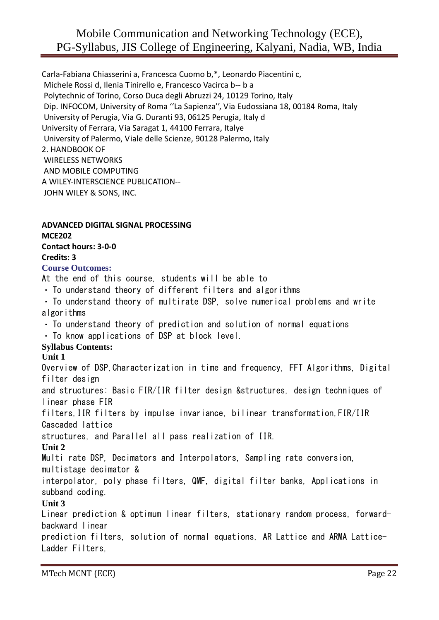Carla-Fabiana Chiasserini a, Francesca Cuomo b,\*, Leonardo Piacentini c, Michele Rossi d, Ilenia Tinirello e, Francesco Vacirca b-- b a Polytechnic of Torino, Corso Duca degli Abruzzi 24, 10129 Torino, Italy Dip. INFOCOM, University of Roma ''La Sapienza'', Via Eudossiana 18, 00184 Roma, Italy University of Perugia, Via G. Duranti 93, 06125 Perugia, Italy d University of Ferrara, Via Saragat 1, 44100 Ferrara, Italye University of Palermo, Viale delle Scienze, 90128 Palermo, Italy 2. HANDBOOK OF WIRELESS NETWORKS AND MOBILE COMPUTING A WILEY-INTERSCIENCE PUBLICATION-- JOHN WILEY & SONS, INC.

#### **ADVANCED DIGITAL SIGNAL PROCESSING MCE202 Contact hours: 3-0-0**

**Credits: 3**

#### **Course Outcomes:**

At the end of this course, students will be able to

- $\cdot$  To understand theory of different filters and algorithms
- . To understand theory of multirate DSP, solve numerical problems and write algorithms
- $\cdot$  To understand theory of prediction and solution of normal equations

 $\cdot$  To know applications of DSP at block level.

#### **Syllabus Contents:**

#### **Unit 1**

Overview of DSP,Characterization in time and frequency, FFT Algorithms, Digital filter design

and structures: Basic FIR/IIR filter design &structures, design techniques of linear phase FIR

filters,IIR filters by impulse invariance, bilinear transformation,FIR/IIR Cascaded lattice

structures, and Parallel all pass realization of IIR.

#### **Unit 2**

Multi rate DSP, Decimators and Interpolators, Sampling rate conversion,

multistage decimator &

interpolator, poly phase filters, QMF, digital filter banks, Applications in subband coding.

#### **Unit 3**

Linear prediction & optimum linear filters, stationary random process, forwardbackward linear

prediction filters, solution of normal equations, AR Lattice and ARMA Lattice-Ladder Filters,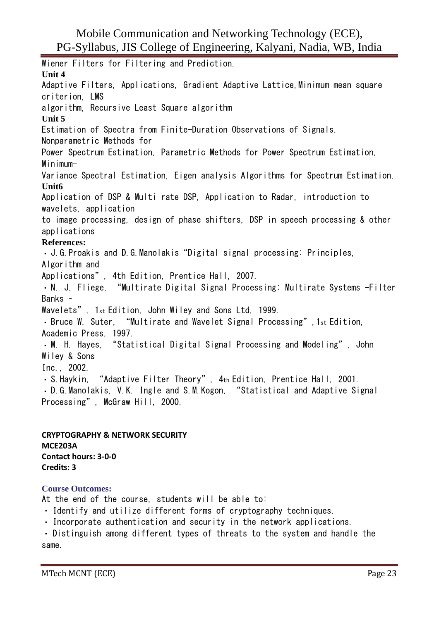Wiener Filters for Filtering and Prediction. **Unit 4** Adaptive Filters, Applications, Gradient Adaptive Lattice,Minimum mean square criterion, LMS algorithm, Recursive Least Square algorithm **Unit 5** Estimation of Spectra from Finite-Duration Observations of Signals. Nonparametric Methods for Power Spectrum Estimation, Parametric Methods for Power Spectrum Estimation, Minimum-Variance Spectral Estimation, Eigen analysis Algorithms for Spectrum Estimation. **Unit6** Application of DSP & Multi rate DSP, Application to Radar, introduction to wavelets, application to image processing, design of phase shifters, DSP in speech processing & other applications **References:** J.G.Proakis and D.G.Manolakis"Digital signal processing: Principles, Algorithm and Applications", 4th Edition, Prentice Hall, 2007. N. J. Fliege, "Multirate Digital Signal Processing: Multirate Systems -Filter Banks – Wavelets", 1st Edition, John Wiley and Sons Ltd, 1999. Bruce W. Suter, "Multirate and Wavelet Signal Processing",1st Edition, Academic Press, 1997. M. H. Hayes, "Statistical Digital Signal Processing and Modeling", John Wiley & Sons Inc., 2002. S.Haykin, "Adaptive Filter Theory", 4th Edition, Prentice Hall, 2001. D.G.Manolakis, V.K. Ingle and S.M.Kogon, "Statistical and Adaptive Signal Processing", McGraw Hill, 2000.

**CRYPTOGRAPHY & NETWORK SECURITY MCE203A Contact hours: 3-0-0 Credits: 3**

#### **Course Outcomes:**

At the end of the course, students will be able to:

- Identify and utilize different forms of cryptography techniques.
- $\cdot$  Incorporate authentication and security in the network applications.

Distinguish among different types of threats to the system and handle the same.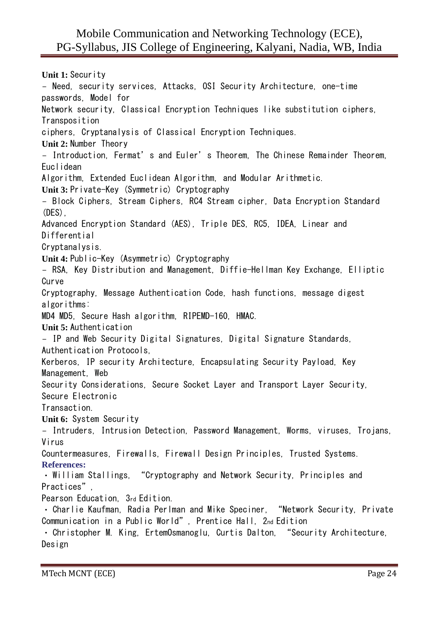**Unit 1:** Security - Need, security services, Attacks, OSI Security Architecture, one-time passwords, Model for Network security, Classical Encryption Techniques like substitution ciphers, Transposition ciphers, Cryptanalysis of Classical Encryption Techniques. **Unit 2:** Number Theory - Introduction, Fermat's and Euler's Theorem, The Chinese Remainder Theorem, Euclidean Algorithm, Extended Euclidean Algorithm, and Modular Arithmetic. **Unit 3:** Private-Key (Symmetric) Cryptography - Block Ciphers, Stream Ciphers, RC4 Stream cipher, Data Encryption Standard (DES), Advanced Encryption Standard (AES), Triple DES, RC5, IDEA, Linear and Differential Cryptanalysis. **Unit 4:** Public-Key (Asymmetric) Cryptography - RSA, Key Distribution and Management, Diffie-Hellman Key Exchange, Elliptic Curve Cryptography, Message Authentication Code, hash functions, message digest algorithms: MD4 MD5, Secure Hash algorithm, RIPEMD-160, HMAC. **Unit 5:** Authentication - IP and Web Security Digital Signatures, Digital Signature Standards, Authentication Protocols, Kerberos, IP security Architecture, Encapsulating Security Payload, Key Management, Web Security Considerations, Secure Socket Layer and Transport Layer Security, Secure Electronic **Transaction Unit 6:** System Security - Intruders, Intrusion Detection, Password Management, Worms, viruses, Trojans, Virus Countermeasures, Firewalls, Firewall Design Principles, Trusted Systems. **References:** William Stallings, "Cryptography and Network Security, Principles and Practices", Pearson Education, 3rd Edition. Charlie Kaufman, Radia Perlman and Mike Speciner, "Network Security, Private Communication in a Public World", Prentice Hall, 2nd Edition Christopher M. King, ErtemOsmanoglu, Curtis Dalton, "Security Architecture, Design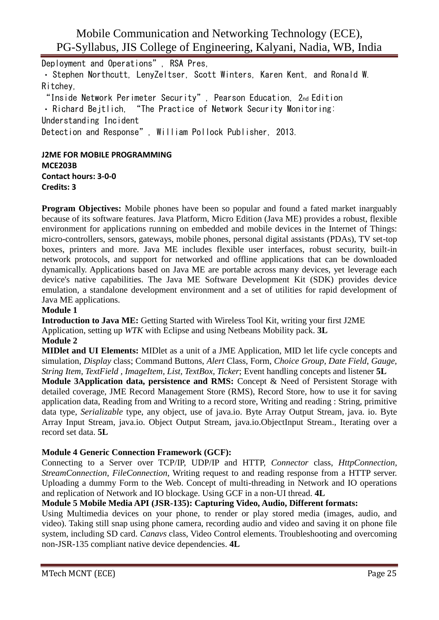Deployment and Operations", RSA Pres, Stephen Northcutt, LenyZeltser, Scott Winters, Karen Kent, and Ronald W. Ritchey, "Inside Network Perimeter Security", Pearson Education, 2nd Edition Richard Bejtlich, "The Practice of Network Security Monitoring: Understanding Incident Detection and Response", William Pollock Publisher, 2013. **J2ME FOR MOBILE PROGRAMMING**

**MCE203B Contact hours: 3-0-0 Credits: 3**

**Program Objectives:** Mobile phones have been so popular and found a fated market inarguably because of its software features. Java Platform, Micro Edition (Java ME) provides a robust, flexible environment for applications running on embedded and mobile devices in the Internet of Things: micro-controllers, sensors, gateways, mobile phones, personal digital assistants (PDAs), TV set-top boxes, printers and more. Java ME includes flexible user interfaces, robust security, built-in network protocols, and support for networked and offline applications that can be downloaded dynamically. Applications based on Java ME are portable across many devices, yet leverage each device's native capabilities. The Java ME Software Development Kit (SDK) provides device emulation, a standalone development environment and a set of utilities for rapid development of Java ME applications.

#### **Module 1**

**Introduction to Java ME:** Getting Started with Wireless Tool Kit, writing your first J2ME Application, setting up *WTK* with Eclipse and using Netbeans Mobility pack. **3L**

#### **Module 2**

**MIDlet and UI Elements:** MIDlet as a unit of a JME Application, MID let life cycle concepts and simulation, *Display* class; Command Buttons, *Alert* Class, Form, *Choice Group*, *Date Field*, *Gauge, String Item, TextField , ImageItem, List, TextBox, Ticker*; Event handling concepts and listener **5L**

**Module 3Application data, persistence and RMS:** Concept & Need of Persistent Storage with detailed coverage, JME Record Management Store (RMS), Record Store, how to use it for saving application data, Reading from and Writing to a record store, Writing and reading : String, primitive data type, *Serializable* type, any object, use of java.io. Byte Array Output Stream, java. io. Byte Array Input Stream, java.io. Object Output Stream, java.io.ObjectInput Stream., Iterating over a record set data. **5L**

#### **Module 4 Generic Connection Framework (GCF):**

Connecting to a Server over TCP/IP, UDP/IP and HTTP, *Connector* class, *HttpConnection*, *StreamConnection*, *FileConnection*, Writing request to and reading response from a HTTP server. Uploading a dummy Form to the Web. Concept of multi-threading in Network and IO operations and replication of Network and IO blockage. Using GCF in a non-UI thread. **4L**

#### **Module 5 Mobile Media API (JSR-135): Capturing Video, Audio, Different formats:**

Using Multimedia devices on your phone, to render or play stored media (images, audio, and video). Taking still snap using phone camera, recording audio and video and saving it on phone file system, including SD card. *Canavs* class, Video Control elements. Troubleshooting and overcoming non-JSR-135 compliant native device dependencies. **4L**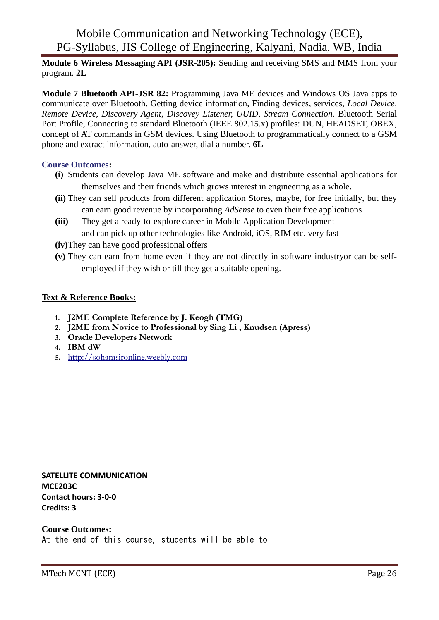**Module 6 Wireless Messaging API (JSR-205):** Sending and receiving SMS and MMS from your program. **2L**

**Module 7 Bluetooth API-JSR 82:** Programming Java ME devices and Windows OS Java apps to communicate over Bluetooth. Getting device information, Finding devices, services, *Local Device, Remote Device, Discovery Agent, Discovey Listener, UUID, Stream Connection.* Bluetooth Serial Port Profile, Connecting to standard Bluetooth (IEEE 802.15.x) profiles: DUN, HEADSET, OBEX, concept of AT commands in GSM devices. Using Bluetooth to programmatically connect to a GSM phone and extract information, auto-answer, dial a number. **6L**

#### **Course Outcomes:**

- **(i)** Students can develop Java ME software and make and distribute essential applications for themselves and their friends which grows interest in engineering as a whole.
- **(ii)** They can sell products from different application Stores, maybe, for free initially, but they can earn good revenue by incorporating *AdSense* to even their free applications
- **(iii)** They get a ready-to-explore career in Mobile Application Development and can pick up other technologies like Android, iOS, RIM etc. very fast
- **(iv)**They can have good professional offers
- **(v)** They can earn from home even if they are not directly in software industryor can be selfemployed if they wish or till they get a suitable opening.

#### **Text & Reference Books:**

- **1. J2ME Complete Reference by J. Keogh (TMG)**
- **2. J2ME from Novice to Professional by Sing Li , Knudsen (Apress)**
- **3. Oracle Developers Network**
- **4. IBM dW**
- **5.** [http://sohamsironline.weebly.com](http://sohamsironline.weebly.com/)

**SATELLITE COMMUNICATION MCE203C Contact hours: 3-0-0 Credits: 3**

**Course Outcomes:** At the end of this course, students will be able to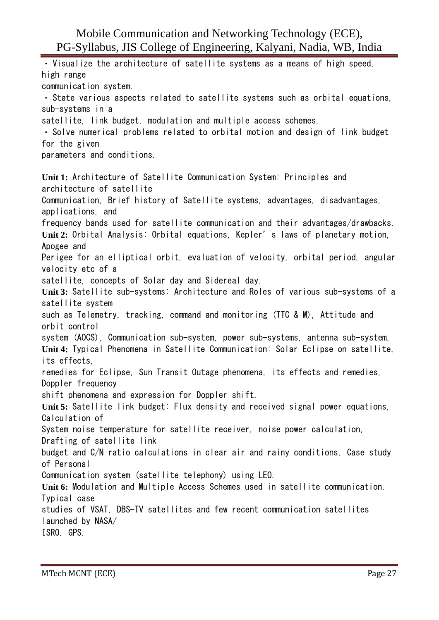Visualize the architecture of satellite systems as a means of high speed, high range communication system. State various aspects related to satellite systems such as orbital equations, sub-systems in a satellite, link budget, modulation and multiple access schemes. Solve numerical problems related to orbital motion and design of link budget for the given parameters and conditions. **Unit 1:** Architecture of Satellite Communication System: Principles and architecture of satellite Communication, Brief history of Satellite systems, advantages, disadvantages, applications, and frequency bands used for satellite communication and their advantages/drawbacks. **Unit 2:** Orbital Analysis: Orbital equations, Kepler's laws of planetary motion, Apogee and Perigee for an elliptical orbit, evaluation of velocity, orbital period, angular velocity etc of a satellite, concepts of Solar day and Sidereal day. **Unit 3:** Satellite sub-systems: Architecture and Roles of various sub-systems of a satellite system such as Telemetry, tracking, command and monitoring (TTC & M), Attitude and orbit control system (AOCS), Communication sub-system, power sub-systems, antenna sub-system. **Unit 4:** Typical Phenomena in Satellite Communication: Solar Eclipse on satellite, its effects, remedies for Eclipse, Sun Transit Outage phenomena, its effects and remedies, Doppler frequency shift phenomena and expression for Doppler shift. **Unit 5:** Satellite link budget: Flux density and received signal power equations, Calculation of System noise temperature for satellite receiver, noise power calculation, Drafting of satellite link budget and C/N ratio calculations in clear air and rainy conditions, Case study of Personal Communication system (satellite telephony) using LEO. **Unit 6:** Modulation and Multiple Access Schemes used in satellite communication. Typical case studies of VSAT, DBS-TV satellites and few recent communication satellites launched by NASA/ ISRO. GPS.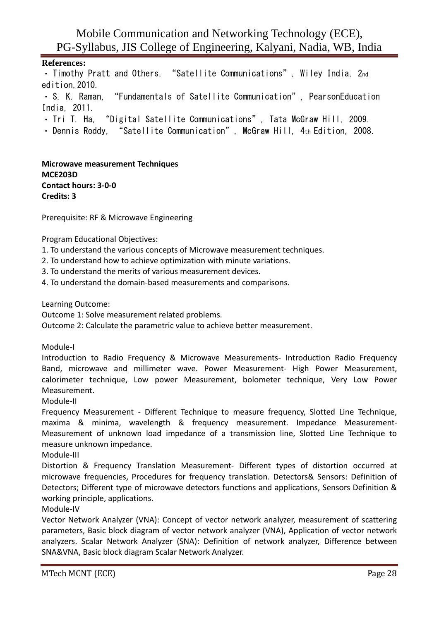#### **References:**

• Timothy Pratt and Others, "Satellite Communications", Wiley India, 2nd edition,2010.

S. K. Raman, "Fundamentals of Satellite Communication", PearsonEducation India, 2011.

- . Tri T. Ha, "Digital Satellite Communications", Tata McGraw Hill, 2009.
- · Dennis Roddy, "Satellite Communication", McGraw Hill, 4th Edition, 2008.

**Microwave measurement Techniques MCE203D Contact hours: 3-0-0 Credits: 3**

Prerequisite: RF & Microwave Engineering

Program Educational Objectives:

- 1. To understand the various concepts of Microwave measurement techniques.
- 2. To understand how to achieve optimization with minute variations.
- 3. To understand the merits of various measurement devices.
- 4. To understand the domain-based measurements and comparisons.

Learning Outcome:

Outcome 1: Solve measurement related problems.

Outcome 2: Calculate the parametric value to achieve better measurement.

Module-I

Introduction to Radio Frequency & Microwave Measurements- Introduction Radio Frequency Band, microwave and millimeter wave. Power Measurement- High Power Measurement, calorimeter technique, Low power Measurement, bolometer technique, Very Low Power Measurement.

Module-II

Frequency Measurement - Different Technique to measure frequency, Slotted Line Technique, maxima & minima, wavelength & frequency measurement. Impedance Measurement-Measurement of unknown load impedance of a transmission line, Slotted Line Technique to measure unknown impedance.

Module-III

Distortion & Frequency Translation Measurement- Different types of distortion occurred at microwave frequencies, Procedures for frequency translation. Detectors& Sensors: Definition of Detectors; Different type of microwave detectors functions and applications, Sensors Definition & working principle, applications.

Module-IV

Vector Network Analyzer (VNA): Concept of vector network analyzer, measurement of scattering parameters, Basic block diagram of vector network analyzer (VNA), Application of vector network analyzers. Scalar Network Analyzer (SNA): Definition of network analyzer, Difference between SNA&VNA, Basic block diagram Scalar Network Analyzer.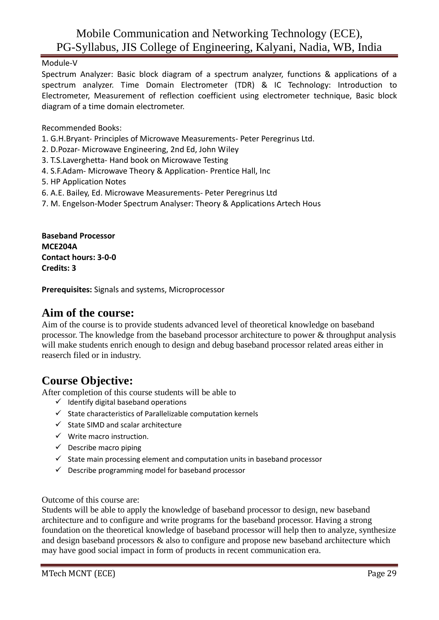Module-V

Spectrum Analyzer: Basic block diagram of a spectrum analyzer, functions & applications of a spectrum analyzer. Time Domain Electrometer (TDR) & IC Technology: Introduction to Electrometer, Measurement of reflection coefficient using electrometer technique, Basic block diagram of a time domain electrometer.

Recommended Books:

- 1. G.H.Bryant- Principles of Microwave Measurements- Peter Peregrinus Ltd.
- 2. D.Pozar- Microwave Engineering, 2nd Ed, John Wiley
- 3. T.S.Laverghetta- Hand book on Microwave Testing
- 4. S.F.Adam- Microwave Theory & Application- Prentice Hall, Inc
- 5. HP Application Notes
- 6. A.E. Bailey, Ed. Microwave Measurements- Peter Peregrinus Ltd
- 7. M. Engelson-Moder Spectrum Analyser: Theory & Applications Artech Hous

**Baseband Processor MCE204A Contact hours: 3-0-0 Credits: 3**

**Prerequisites:** Signals and systems, Microprocessor

## **Aim of the course:**

Aim of the course is to provide students advanced level of theoretical knowledge on baseband processor. The knowledge from the baseband processor architecture to power & throughput analysis will make students enrich enough to design and debug baseband processor related areas either in reaserch filed or in industry.

# **Course Objective:**

After completion of this course students will be able to

- $\checkmark$  Identify digital baseband operations
- $\checkmark$  State characteristics of Parallelizable computation kernels
- ✓ State SIMD and scalar architecture
- $\checkmark$  Write macro instruction.
- $\checkmark$  Describe macro piping
- $\checkmark$  State main processing element and computation units in baseband processor
- $\checkmark$  Describe programming model for baseband processor

Outcome of this course are:

Students will be able to apply the knowledge of baseband processor to design, new baseband architecture and to configure and write programs for the baseband processor. Having a strong foundation on the theoretical knowledge of baseband processor will help then to analyze, synthesize and design baseband processors & also to configure and propose new baseband architecture which may have good social impact in form of products in recent communication era.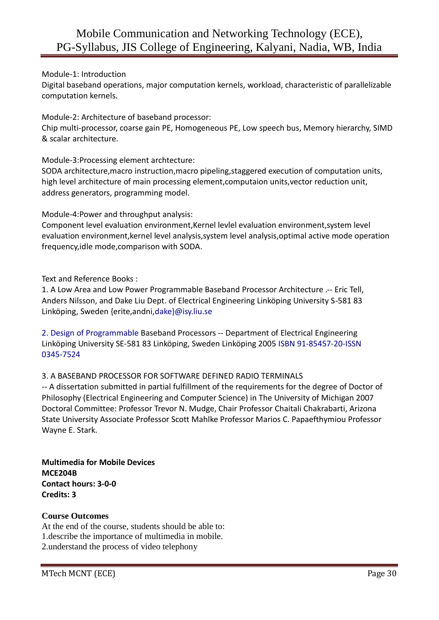#### Module-1: Introduction

Digital baseband operations, major computation kernels, workload, characteristic of parallelizable computation kernels.

Module-2: Architecture of baseband processor:

Chip multi-processor, coarse gain PE, Homogeneous PE, Low speech bus, Memory hierarchy, SIMD & scalar architecture.

Module-3:Processing element archtecture:

SODA architecture,macro instruction,macro pipeling,staggered execution of computation units, high level architecture of main processing element,computaion units,vector reduction unit, address generators, programming model.

Module-4:Power and throughput analysis:

Component level evaluation environment,Kernel levlel evaluation environment,system level evaluation environment,kernel level analysis,system level analysis,optimal active mode operation frequency,idle mode,comparison with SODA.

Text and Reference Books :

1. A Low Area and Low Power Programmable Baseband Processor Architecture .-- Eric Tell, Anders Nilsson, and Dake Liu Dept. of Electrical Engineering Linköping University S-581 83 Linköping, Sweden {erite,andni,dake}@isy.liu.se

2. Design of Programmable Baseband Processors -- Department of Electrical Engineering Linköping University SE-581 83 Linköping, Sweden Linköping 2005 ISBN 91-85457-20-ISSN 0345-7524

#### 3. A BASEBAND PROCESSOR FOR SOFTWARE DEFINED RADIO TERMINALS

-- A dissertation submitted in partial fulfillment of the requirements for the degree of Doctor of Philosophy (Electrical Engineering and Computer Science) in The University of Michigan 2007 Doctoral Committee: Professor Trevor N. Mudge, Chair Professor Chaitali Chakrabarti, Arizona State University Associate Professor Scott Mahlke Professor Marios C. Papaefthymiou Professor Wayne E. Stark.

**Multimedia for Mobile Devices MCE204B Contact hours: 3-0-0 Credits: 3**

#### **Course Outcomes**

At the end of the course, students should be able to: 1.describe the importance of multimedia in mobile. 2.understand the process of video telephony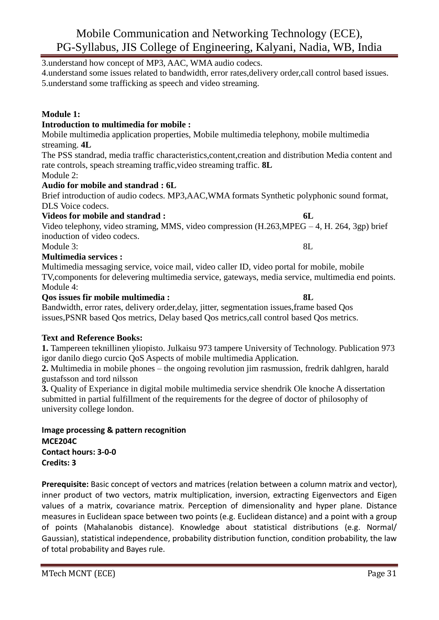3.understand how concept of MP3, AAC, WMA audio codecs.

4.understand some issues related to bandwidth, error rates,delivery order,call control based issues. 5.understand some trafficking as speech and video streaming.

#### **Module 1:**

#### **Introduction to multimedia for mobile :**

Mobile multimedia application properties, Mobile multimedia telephony, mobile multimedia streaming. **4L**

The PSS standrad, media traffic characteristics,content,creation and distribution Media content and rate controls, speach streaming traffic,video streaming traffic. **8L**

Module 2:

#### **Audio for mobile and standrad : 6L**

Brief introduction of audio codecs. MP3,AAC,WMA formats Synthetic polyphonic sound format, DLS Voice codecs.

#### **Videos for mobile and standrad : 6L**

Video telephony, video straming, MMS, video compression (H.263,MPEG – 4, H. 264, 3gp) brief inoduction of video codecs. Module 3: 8L

**Multimedia services :**

Multimedia messaging service, voice mail, video caller ID, video portal for mobile, mobile TV,components for delevering multimedia service, gateways, media service, multimedia end points. Module 4:

#### **Qos issues fir mobile multimedia : 8L**

Bandwidth, error rates, delivery order,delay, jitter, segmentation issues,frame based Qos issues,PSNR based Qos metrics, Delay based Qos metrics,call control based Qos metrics.

#### **Text and Reference Books:**

**1.** Tampereen teknillinen yliopisto. Julkaisu 973 tampere University of Technology. Publication 973 igor danilo diego curcio QoS Aspects of mobile multimedia Application.

**2.** Multimedia in mobile phones – the ongoing revolution jim rasmussion, fredrik dahlgren, harald gustafsson and tord nilsson

**3.** Quality of Experiance in digital mobile multimedia service shendrik Ole knoche A dissertation submitted in partial fulfillment of the requirements for the degree of doctor of philosophy of university college london.

**Image processing & pattern recognition MCE204C Contact hours: 3-0-0 Credits: 3**

**Prerequisite:** Basic concept of vectors and matrices (relation between a column matrix and vector), inner product of two vectors, matrix multiplication, inversion, extracting Eigenvectors and Eigen values of a matrix, covariance matrix. Perception of dimensionality and hyper plane. Distance measures in Euclidean space between two points (e.g. Euclidean distance) and a point with a group of points (Mahalanobis distance). Knowledge about statistical distributions (e.g. Normal/ Gaussian), statistical independence, probability distribution function, condition probability, the law of total probability and Bayes rule.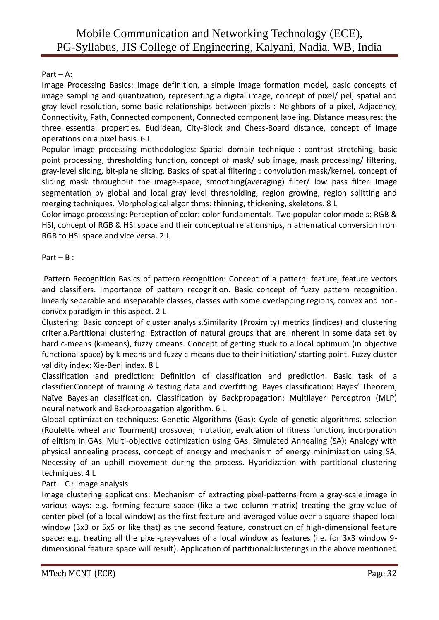#### Part – A:

Image Processing Basics: Image definition, a simple image formation model, basic concepts of image sampling and quantization, representing a digital image, concept of pixel/ pel, spatial and gray level resolution, some basic relationships between pixels : Neighbors of a pixel, Adjacency, Connectivity, Path, Connected component, Connected component labeling. Distance measures: the three essential properties, Euclidean, City-Block and Chess-Board distance, concept of image operations on a pixel basis. 6 L

Popular image processing methodologies: Spatial domain technique : contrast stretching, basic point processing, thresholding function, concept of mask/ sub image, mask processing/ filtering, gray-level slicing, bit-plane slicing. Basics of spatial filtering : convolution mask/kernel, concept of sliding mask throughout the image-space, smoothing(averaging) filter/ low pass filter. Image segmentation by global and local gray level thresholding, region growing, region splitting and merging techniques. Morphological algorithms: thinning, thickening, skeletons. 8 L

Color image processing: Perception of color: color fundamentals. Two popular color models: RGB & HSI, concept of RGB & HSI space and their conceptual relationships, mathematical conversion from RGB to HSI space and vice versa. 2 L

#### Part  $- B$  :

Pattern Recognition Basics of pattern recognition: Concept of a pattern: feature, feature vectors and classifiers. Importance of pattern recognition. Basic concept of fuzzy pattern recognition, linearly separable and inseparable classes, classes with some overlapping regions, convex and nonconvex paradigm in this aspect. 2 L

Clustering: Basic concept of cluster analysis.Similarity (Proximity) metrics (indices) and clustering criteria.Partitional clustering: Extraction of natural groups that are inherent in some data set by hard c-means (k-means), fuzzy cmeans. Concept of getting stuck to a local optimum (in objective functional space) by k-means and fuzzy c-means due to their initiation/ starting point. Fuzzy cluster validity index: Xie-Beni index. 8 L

Classification and prediction: Definition of classification and prediction. Basic task of a classifier.Concept of training & testing data and overfitting. Bayes classification: Bayes' Theorem, Naϊve Bayesian classification. Classification by Backpropagation: Multilayer Perceptron (MLP) neural network and Backpropagation algorithm. 6 L

Global optimization techniques: Genetic Algorithms (Gas): Cycle of genetic algorithms, selection (Roulette wheel and Tourment) crossover, mutation, evaluation of fitness function, incorporation of elitism in GAs. Multi-objective optimization using GAs. Simulated Annealing (SA): Analogy with physical annealing process, concept of energy and mechanism of energy minimization using SA, Necessity of an uphill movement during the process. Hybridization with partitional clustering techniques. 4 L

#### Part – C : Image analysis

Image clustering applications: Mechanism of extracting pixel-patterns from a gray-scale image in various ways: e.g. forming feature space (like a two column matrix) treating the gray-value of center-pixel (of a local window) as the first feature and averaged value over a square-shaped local window (3x3 or 5x5 or like that) as the second feature, construction of high-dimensional feature space: e.g. treating all the pixel-gray-values of a local window as features (i.e. for 3x3 window 9 dimensional feature space will result). Application of partitionalclusterings in the above mentioned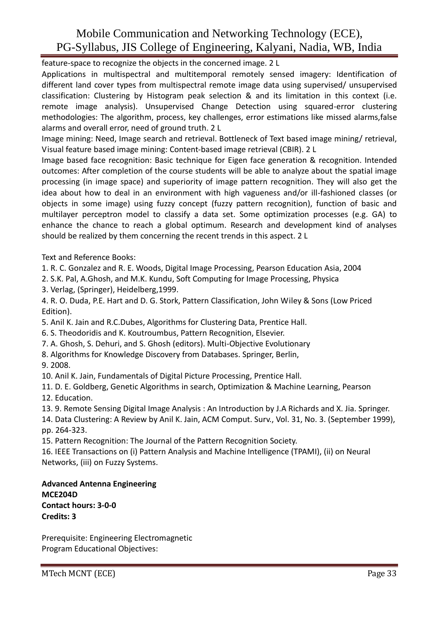feature-space to recognize the objects in the concerned image. 2 L

Applications in multispectral and multitemporal remotely sensed imagery: Identification of different land cover types from multispectral remote image data using supervised/ unsupervised classification: Clustering by Histogram peak selection & and its limitation in this context (i.e. remote image analysis). Unsupervised Change Detection using squared-error clustering methodologies: The algorithm, process, key challenges, error estimations like missed alarms,false alarms and overall error, need of ground truth. 2 L

Image mining: Need, Image search and retrieval. Bottleneck of Text based image mining/ retrieval, Visual feature based image mining: Content-based image retrieval (CBIR). 2 L

Image based face recognition: Basic technique for Eigen face generation & recognition. Intended outcomes: After completion of the course students will be able to analyze about the spatial image processing (in image space) and superiority of image pattern recognition. They will also get the idea about how to deal in an environment with high vagueness and/or ill-fashioned classes (or objects in some image) using fuzzy concept (fuzzy pattern recognition), function of basic and multilayer perceptron model to classify a data set. Some optimization processes (e.g. GA) to enhance the chance to reach a global optimum. Research and development kind of analyses should be realized by them concerning the recent trends in this aspect. 2 L

Text and Reference Books:

1. R. C. Gonzalez and R. E. Woods, Digital Image Processing, Pearson Education Asia, 2004

2. S.K. Pal, A.Ghosh, and M.K. Kundu, Soft Computing for Image Processing, Physica

3. Verlag, (Springer), Heidelberg,1999.

4. R. O. Duda, P.E. Hart and D. G. Stork, Pattern Classification, John Wiley & Sons (Low Priced Edition).

5. Anil K. Jain and R.C.Dubes, Algorithms for Clustering Data, Prentice Hall.

6. S. Theodoridis and K. Koutroumbus, Pattern Recognition, Elsevier.

7. A. Ghosh, S. Dehuri, and S. Ghosh (editors). Multi-Objective Evolutionary

- 8. Algorithms for Knowledge Discovery from Databases. Springer, Berlin,
- 9. 2008.

10. Anil K. Jain, Fundamentals of Digital Picture Processing, Prentice Hall.

11. D. E. Goldberg, Genetic Algorithms in search, Optimization & Machine Learning, Pearson 12. Education.

13. 9. Remote Sensing Digital Image Analysis : An Introduction by J.A Richards and X. Jia. Springer.

14. Data Clustering: A Review by Anil K. Jain, ACM Comput. Surv., Vol. 31, No. 3. (September 1999), pp. 264-323.

15. Pattern Recognition: The Journal of the Pattern Recognition Society.

16. IEEE Transactions on (i) Pattern Analysis and Machine Intelligence (TPAMI), (ii) on Neural Networks, (iii) on Fuzzy Systems.

**Advanced Antenna Engineering MCE204D Contact hours: 3-0-0**

**Credits: 3**

Prerequisite: Engineering Electromagnetic Program Educational Objectives: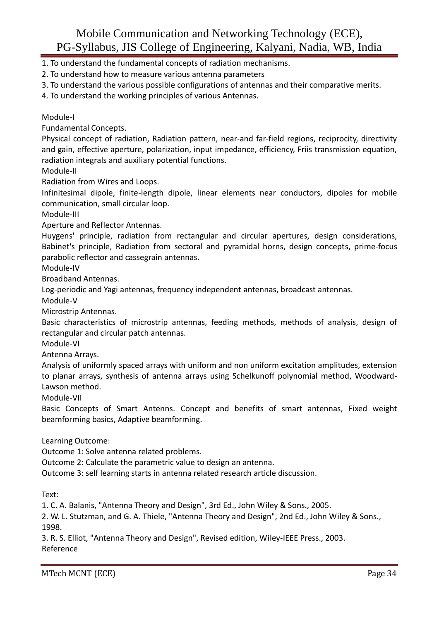- 1. To understand the fundamental concepts of radiation mechanisms.
- 2. To understand how to measure various antenna parameters
- 3. To understand the various possible configurations of antennas and their comparative merits.
- 4. To understand the working principles of various Antennas.

#### Module-I

Fundamental Concepts.

Physical concept of radiation, Radiation pattern, near-and far-field regions, reciprocity, directivity and gain, effective aperture, polarization, input impedance, efficiency, Friis transmission equation, radiation integrals and auxiliary potential functions.

Module-II

Radiation from Wires and Loops.

Infinitesimal dipole, finite-length dipole, linear elements near conductors, dipoles for mobile communication, small circular loop.

Module-III

Aperture and Reflector Antennas.

Huygens' principle, radiation from rectangular and circular apertures, design considerations, Babinet's principle, Radiation from sectoral and pyramidal horns, design concepts, prime-focus parabolic reflector and cassegrain antennas.

Module-IV

Broadband Antennas.

Log-periodic and Yagi antennas, frequency independent antennas, broadcast antennas.

Module-V

Microstrip Antennas.

Basic characteristics of microstrip antennas, feeding methods, methods of analysis, design of rectangular and circular patch antennas.

Module-VI

Antenna Arrays.

Analysis of uniformly spaced arrays with uniform and non uniform excitation amplitudes, extension to planar arrays, synthesis of antenna arrays using Schelkunoff polynomial method, Woodward-Lawson method.

Module-VII

Basic Concepts of Smart Antenns. Concept and benefits of smart antennas, Fixed weight beamforming basics, Adaptive beamforming.

Learning Outcome:

Outcome 1: Solve antenna related problems.

Outcome 2: Calculate the parametric value to design an antenna.

Outcome 3: self learning starts in antenna related research article discussion.

Text:

1. C. A. Balanis, "Antenna Theory and Design", 3rd Ed., John Wiley & Sons., 2005.

2. W. L. Stutzman, and G. A. Thiele, "Antenna Theory and Design", 2nd Ed., John Wiley & Sons., 1998.

3. R. S. Elliot, "Antenna Theory and Design", Revised edition, Wiley-IEEE Press., 2003. Reference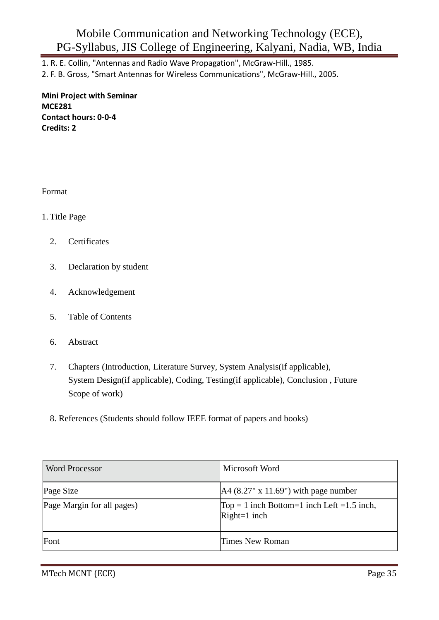1. R. E. Collin, "Antennas and Radio Wave Propagation", McGraw-Hill., 1985.

2. F. B. Gross, "Smart Antennas for Wireless Communications", McGraw-Hill., 2005.

**Mini Project with Seminar MCE281 Contact hours: 0-0-4 Credits: 2**

Format

#### 1. Title Page

- 2. Certificates
- 3. Declaration by student
- 4. Acknowledgement
- 5. Table of Contents
- 6. Abstract
- 7. Chapters (Introduction, Literature Survey, System Analysis(if applicable), System Design(if applicable), Coding, Testing(if applicable), Conclusion , Future Scope of work)
- 8. References (Students should follow IEEE format of papers and books)

| <b>Word Processor</b>      | Microsoft Word                                                  |
|----------------------------|-----------------------------------------------------------------|
| Page Size                  | $[A4 (8.27" x 11.69")$ with page number                         |
| Page Margin for all pages) | Top = 1 inch Bottom=1 inch Left = $1.5$ inch,<br>$Right=1$ inch |
| Font                       | <b>Times New Roman</b>                                          |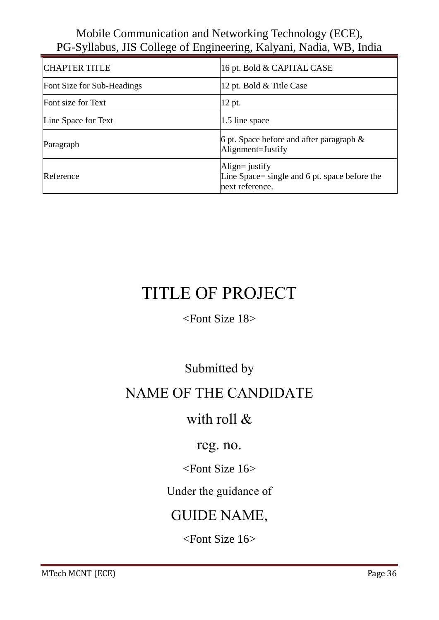| <b>CHAPTER TITLE</b>       | 16 pt. Bold & CAPITAL CASE                                                            |
|----------------------------|---------------------------------------------------------------------------------------|
| Font Size for Sub-Headings | 12 pt. Bold & Title Case                                                              |
| Font size for Text         | 12 pt.                                                                                |
| Line Space for Text        | 1.5 line space                                                                        |
| Paragraph                  | 6 pt. Space before and after paragraph $\&$<br>Alignment=Justify                      |
| Reference                  | Align= $j$ ustify<br>Line Space= single and 6 pt. space before the<br>next reference. |

# TITLE OF PROJECT

# <Font Size 18>

# Submitted by

# NAME OF THE CANDIDATE

# with roll &

# reg. no.

# <Font Size 16>

# Under the guidance of

# GUIDE NAME,

# <Font Size 16>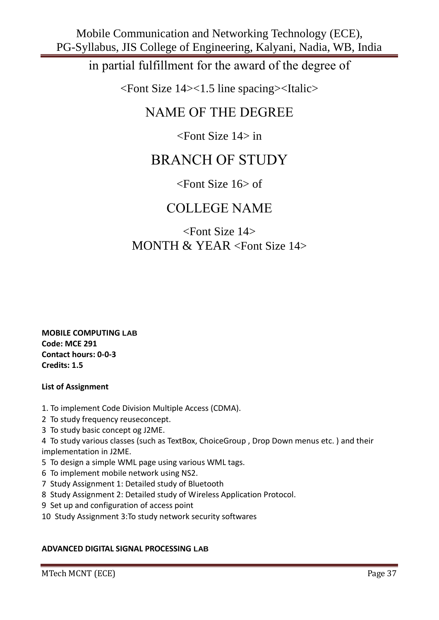in partial fulfillment for the award of the degree of

<Font Size 14><1.5 line spacing><Italic>

# NAME OF THE DEGREE

<Font Size 14> in

# BRANCH OF STUDY

# <Font Size 16> of

# COLLEGE NAME

# <Font Size 14> MONTH & YEAR <Font Size 14>

**MOBILE COMPUTING LAB Code: MCE 291 Contact hours: 0-0-3 Credits: 1.5**

#### **List of Assignment**

- 1. To implement Code Division Multiple Access (CDMA).
- 2 To study frequency reuseconcept.
- 3 To study basic concept og J2ME.

4 To study various classes (such as TextBox, ChoiceGroup , Drop Down menus etc. ) and their implementation in J2ME.

- 5 To design a simple WML page using various WML tags.
- 6 To implement mobile network using NS2.
- 7 Study Assignment 1: Detailed study of Bluetooth
- 8 Study Assignment 2: Detailed study of Wireless Application Protocol.
- 9 Set up and configuration of access point
- 10 Study Assignment 3:To study network security softwares

#### **ADVANCED DIGITAL SIGNAL PROCESSING LAB**

MTech MCNT (ECE) Page 37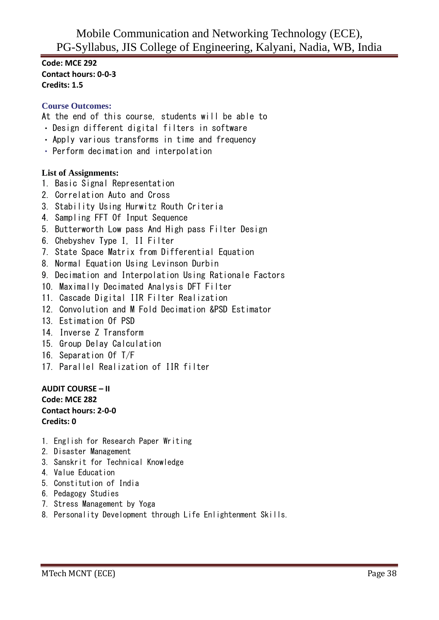**Code: MCE 292 Contact hours: 0-0-3 Credits: 1.5**

#### **Course Outcomes:**

At the end of this course, students will be able to

- Design different digital filters in software
- Apply various transforms in time and frequency
- Perform decimation and interpolation

#### **List of Assignments:**

- 1. Basic Signal Representation
- 2. Correlation Auto and Cross
- 3. Stability Using Hurwitz Routh Criteria
- 4. Sampling FFT Of Input Sequence
- 5. Butterworth Low pass And High pass Filter Design
- 6. Chebyshev Type I, II Filter
- 7. State Space Matrix from Differential Equation
- 8. Normal Equation Using Levinson Durbin
- 9. Decimation and Interpolation Using Rationale Factors
- 10. Maximally Decimated Analysis DFT Filter
- 11. Cascade Digital IIR Filter Realization
- 12. Convolution and M Fold Decimation &PSD Estimator
- 13. Estimation Of PSD
- 14. Inverse Z Transform
- 15. Group Delay Calculation
- 16. Separation Of T/F
- 17. Parallel Realization of IIR filter

**AUDIT COURSE – II Code: MCE 282 Contact hours: 2-0-0 Credits: 0**

- 1. English for Research Paper Writing
- 2. Disaster Management
- 3. Sanskrit for Technical Knowledge
- 4. Value Education
- 5. Constitution of India
- 6. Pedagogy Studies
- 7. Stress Management by Yoga
- 8. Personality Development through Life Enlightenment Skills.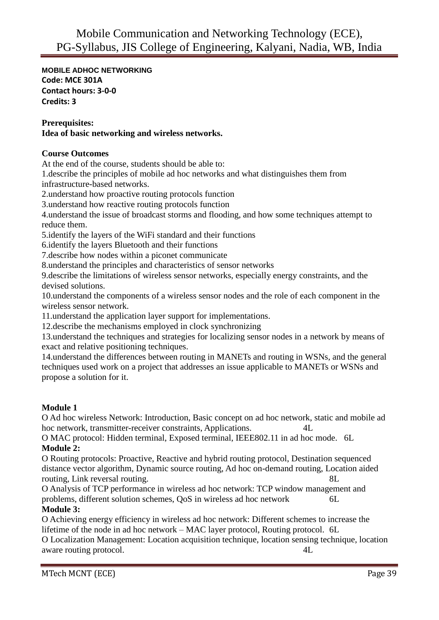**MOBILE ADHOC NETWORKING Code: MCE 301A Contact hours: 3-0-0 Credits: 3**

#### **Prerequisites:**

#### **Idea of basic networking and wireless networks.**

#### **Course Outcomes**

At the end of the course, students should be able to:

1.describe the principles of mobile ad hoc networks and what distinguishes them from infrastructure-based networks.

2.understand how proactive routing protocols function

3.understand how reactive routing protocols function

4.understand the issue of broadcast storms and flooding, and how some techniques attempt to reduce them.

5.identify the layers of the WiFi standard and their functions

6.identify the layers Bluetooth and their functions

7.describe how nodes within a piconet communicate

8.understand the principles and characteristics of sensor networks

9.describe the limitations of wireless sensor networks, especially energy constraints, and the devised solutions.

10.understand the components of a wireless sensor nodes and the role of each component in the wireless sensor network.

11.understand the application layer support for implementations.

12.describe the mechanisms employed in clock synchronizing

13.understand the techniques and strategies for localizing sensor nodes in a network by means of exact and relative positioning techniques.

14.understand the differences between routing in MANETs and routing in WSNs, and the general techniques used work on a project that addresses an issue applicable to MANETs or WSNs and propose a solution for it.

#### **Module 1**

O Ad hoc wireless Network: Introduction, Basic concept on ad hoc network, static and mobile ad hoc network, transmitter-receiver constraints, Applications. 4L

O MAC protocol: Hidden terminal, Exposed terminal, IEEE802.11 in ad hoc mode. 6L **Module 2:**

O Routing protocols: Proactive, Reactive and hybrid routing protocol, Destination sequenced distance vector algorithm, Dynamic source routing, Ad hoc on-demand routing, Location aided routing, Link reversal routing. 8L

O Analysis of TCP performance in wireless ad hoc network: TCP window management and problems, different solution schemes, QoS in wireless ad hoc network 6L

#### **Module 3:**

O Achieving energy efficiency in wireless ad hoc network: Different schemes to increase the lifetime of the node in ad hoc network – MAC layer protocol, Routing protocol. 6L O Localization Management: Location acquisition technique, location sensing technique, location aware routing protocol.  $4L$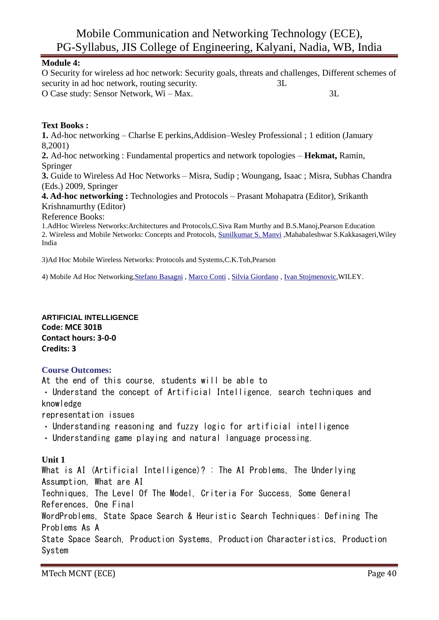#### **Module 4:**

O Security for wireless ad hoc network: Security goals, threats and challenges, Different schemes of security in ad hoc network, routing security.  $3L$ O Case study: Sensor Network, Wi – Max. 3L

#### **Text Books :**

**1.** Ad-hoc networking – Charlse E perkins,Addision–Wesley Professional ; 1 edition (January 8,2001)

**2.** Ad-hoc networking : Fundamental propertics and network topologies – **Hekmat,** Ramin, Springer

**3.** Guide to Wireless Ad Hoc Networks – Misra, Sudip ; Woungang, Isaac ; Misra, Subhas Chandra (Eds.) 2009, Springer

**4. Ad-hoc networking :** Technologies and Protocols – Prasant Mohapatra (Editor), Srikanth Krishnamurthy (Editor)

Reference Books:

1.AdHoc Wireless Networks:Architectures and Protocols,C.Siva Ram Murthy and B.S.Manoj,Pearson Education 2. Wireless and Mobile Networks: Concepts and Protocols, [Sunilkumar S. Manvi](http://www.amazon.in/s/275-4275122-8551732?_encoding=UTF8&field-author=Sunilkumar%20S.%20Manvi&search-alias=stripbooks) ,Mahabaleshwar S.Kakkasageri,Wiley India

3)Ad Hoc Mobile Wireless Networks: Protocols and Systems,C.K.Toh,Pearson

4) Mobile Ad Hoc Networking[,Stefano](http://www.amazon.com/s/ref=ntt_athr_dp_sr_1?_encoding=UTF8&field-author=Stefano%20Basagni&search-alias=books&sort=relevancerank) Basagni , [Marco Conti](http://www.amazon.com/s/ref=ntt_athr_dp_sr_2?_encoding=UTF8&field-author=Marco%20Conti&search-alias=books&sort=relevancerank) , [Silvia Giordano](http://www.amazon.com/s/ref=ntt_athr_dp_sr_3?_encoding=UTF8&field-author=Silvia%20Giordano&search-alias=books&sort=relevancerank) , [Ivan Stojmenovic,](http://www.amazon.com/s/ref=ntt_athr_dp_sr_4?_encoding=UTF8&field-author=Ivan%20Stojmenovic&search-alias=books&sort=relevancerank)WILEY.

**ARTIFICIAL INTELLIGENCE Code: MCE 301B Contact hours: 3-0-0 Credits: 3**

#### **Course Outcomes:**

At the end of this course, students will be able to

Understand the concept of Artificial Intelligence, search techniques and knowledge

representation issues

- Understanding reasoning and fuzzy logic for artificial intelligence
- Understanding game playing and natural language processing.

#### **Unit 1**

What is AI (Artificial Intelligence)? : The AI Problems, The Underlying Assumption, What are AI Techniques, The Level Of The Model, Criteria For Success, Some General References, One Final WordProblems, State Space Search & Heuristic Search Techniques: Defining The Problems As A State Space Search, Production Systems, Production Characteristics, Production System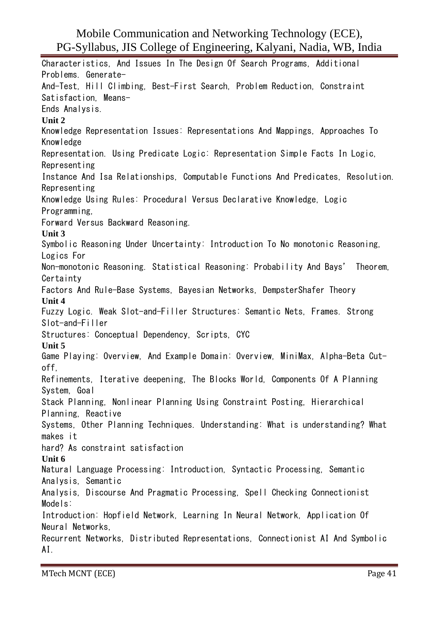Characteristics, And Issues In The Design Of Search Programs, Additional Problems. Generate-And-Test, Hill Climbing, Best-First Search, Problem Reduction, Constraint Satisfaction, Means-Ends Analysis. **Unit 2** Knowledge Representation Issues: Representations And Mappings, Approaches To Knowledge Representation. Using Predicate Logic: Representation Simple Facts In Logic, Representing Instance And Isa Relationships, Computable Functions And Predicates, Resolution. Representing Knowledge Using Rules: Procedural Versus Declarative Knowledge, Logic Programming, Forward Versus Backward Reasoning. **Unit 3** Symbolic Reasoning Under Uncertainty: Introduction To No monotonic Reasoning, Logics For Non-monotonic Reasoning. Statistical Reasoning: Probability And Bays' Theorem, **Certainty** Factors And Rule-Base Systems, Bayesian Networks, DempsterShafer Theory **Unit 4** Fuzzy Logic. Weak Slot-and-Filler Structures: Semantic Nets, Frames. Strong Slot-and-Filler Structures: Conceptual Dependency, Scripts, CYC **Unit 5** Game Playing: Overview, And Example Domain: Overview, MiniMax, Alpha-Beta Cutoff, Refinements, Iterative deepening, The Blocks World, Components Of A Planning System, Goal Stack Planning, Nonlinear Planning Using Constraint Posting, Hierarchical Planning, Reactive Systems, Other Planning Techniques. Understanding: What is understanding? What makes it hard? As constraint satisfaction **Unit 6** Natural Language Processing: Introduction, Syntactic Processing, Semantic Analysis, Semantic Analysis, Discourse And Pragmatic Processing, Spell Checking Connectionist Models: Introduction: Hopfield Network, Learning In Neural Network, Application Of Neural Networks, Recurrent Networks, Distributed Representations, Connectionist AI And Symbolic AI.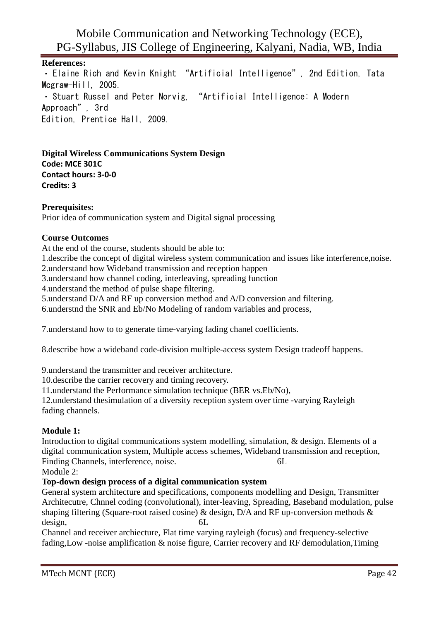**References:** Elaine Rich and Kevin Knight "Artificial Intelligence", 2nd Edition, Tata Mcgraw-Hill, 2005. Stuart Russel and Peter Norvig, "Artificial Intelligence: A Modern Approach", 3rd Edition, Prentice Hall, 2009.

**Digital Wireless Communications System Design Code: MCE 301C Contact hours: 3-0-0 Credits: 3**

#### **Prerequisites:**

Prior idea of communication system and Digital signal processing

#### **Course Outcomes**

At the end of the course, students should be able to:

1.describe the concept of digital wireless system communication and issues like interference,noise.

2.understand how Wideband transmission and reception happen

3.understand how channel coding, interleaving, spreading function

4.understand the method of pulse shape filtering.

5.understand D/A and RF up conversion method and A/D conversion and filtering.

6.understnd the SNR and Eb/No Modeling of random variables and process,

7.understand how to to generate time-varying fading chanel coefficients.

8.describe how a wideband code-division multiple-access system Design tradeoff happens.

9.understand the transmitter and receiver architecture.

10.describe the carrier recovery and timing recovery.

11.understand the Performance simulation technique (BER vs.Eb/No),

12.understand thesimulation of a diversity reception system over time -varying Rayleigh fading channels.

#### **Module 1:**

Introduction to digital communications system modelling, simulation, & design. Elements of a digital communication system, Multiple access schemes, Wideband transmission and reception, Finding Channels, interference, noise. 6L

Module 2:

#### **Top-down design process of a digital communication system**

General system architecture and specifications, components modelling and Design, Transmitter Architecutre, Chnnel coding (convolutional), inter-leaving, Spreading, Baseband modulation, pulse shaping filtering (Square-root raised cosine) & design,  $D/A$  and RF up-conversion methods  $\&$ design. 6L

Channel and receiver archiecture, Flat time varying rayleigh (focus) and frequency-selective fading,Low -noise amplification & noise figure, Carrier recovery and RF demodulation,Timing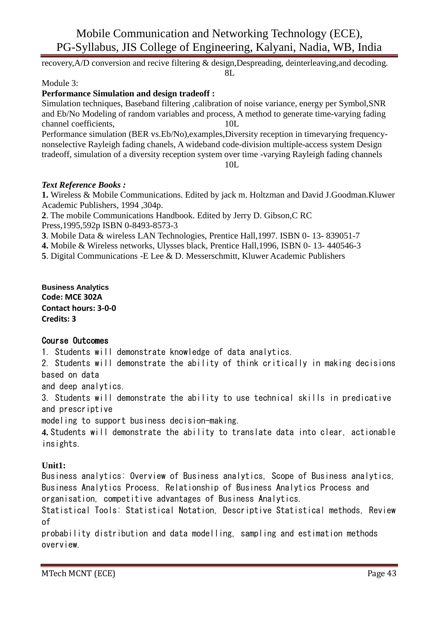recovery,A/D conversion and recive filtering & design,Despreading, deinterleaving,and decoding. 8L

#### Module 3:

#### **Performance Simulation and design tradeoff :**

Simulation techniques, Baseband filtering ,calibration of noise variance, energy per Symbol,SNR and Eb/No Modeling of random variables and process, A method to generate time-varying fading channel coefficients, 10L Performance simulation (BER vs.Eb/No),examples,Diversity reception in timevarying frequency-

nonselective Rayleigh fading chanels, A wideband code-division multiple-access system Design tradeoff, simulation of a diversity reception system over time -varying Rayleigh fading channels 10L

#### *Text Reference Books :*

**1.** Wireless & Mobile Communications. Edited by jack m. Holtzman and David J.Goodman.Kluwer Academic Publishers, 1994 ,304p.

**2**. The mobile Communications Handbook. Edited by Jerry D. Gibson,C RC Press,1995,592p ISBN 0-8493-8573-3

**3**. Mobile Data & wireless LAN Technologies, Prentice Hall,1997. ISBN 0- 13- 839051-7

**4.** Mobile & Wireless networks, Ulysses black, Prentice Hall,1996, ISBN 0- 13- 440546-3

**5**. Digital Communications -E Lee & D. Messerschmitt, Kluwer Academic Publishers

**Business Analytics Code: MCE 302A Contact hours: 3-0-0 Credits: 3**

#### Course Outcomes

1. Students will demonstrate knowledge of data analytics.

2. Students will demonstrate the ability of think critically in making decisions based on data

and deep analytics.

3. Students will demonstrate the ability to use technical skills in predicative and prescriptive

modeling to support business decision-making.

**4.** Students will demonstrate the ability to translate data into clear, actionable insights.

#### **Unit1:**

Business analytics: Overview of Business analytics, Scope of Business analytics, Business Analytics Process, Relationship of Business Analytics Process and organisation, competitive advantages of Business Analytics.

Statistical Tools: Statistical Notation, Descriptive Statistical methods, Review of

probability distribution and data modelling, sampling and estimation methods overview.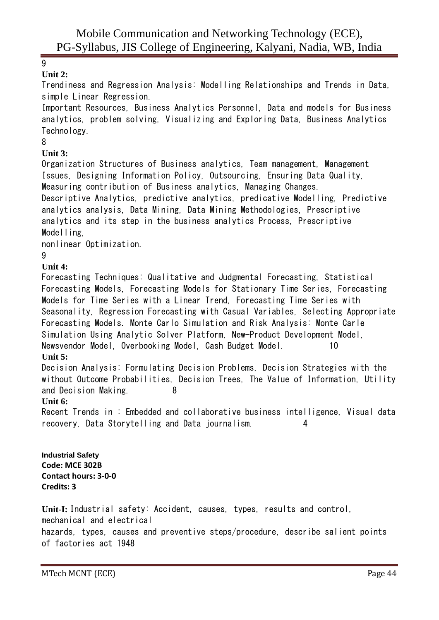# 9

#### **Unit 2:**

Trendiness and Regression Analysis: Modelling Relationships and Trends in Data, simple Linear Regression.

Important Resources, Business Analytics Personnel, Data and models for Business analytics, problem solving, Visualizing and Exploring Data, Business Analytics Technology.

### 8

## **Unit 3:**

Organization Structures of Business analytics, Team management, Management Issues, Designing Information Policy, Outsourcing, Ensuring Data Quality, Measuring contribution of Business analytics, Managing Changes. Descriptive Analytics, predictive analytics, predicative Modelling, Predictive analytics analysis, Data Mining, Data Mining Methodologies, Prescriptive analytics and its step in the business analytics Process, Prescriptive Modelling,

nonlinear Optimization.

### 9

### **Unit 4:**

Forecasting Techniques: Qualitative and Judgmental Forecasting, Statistical Forecasting Models, Forecasting Models for Stationary Time Series, Forecasting Models for Time Series with a Linear Trend, Forecasting Time Series with Seasonality, Regression Forecasting with Casual Variables, Selecting Appropriate Forecasting Models. Monte Carlo Simulation and Risk Analysis: Monte Carle Simulation Using Analytic Solver Platform, New-Product Development Model, Newsvendor Model, Overbooking Model, Cash Budget Model. 10

# **Unit 5:**

Decision Analysis: Formulating Decision Problems, Decision Strategies with the without Outcome Probabilities, Decision Trees, The Value of Information, Utility and Decision Making. 8

#### **Unit 6:**

Recent Trends in : Embedded and collaborative business intelligence, Visual data recovery, Data Storytelling and Data journalism. 4

**Industrial Safety Code: MCE 302B Contact hours: 3-0-0 Credits: 3**

**Unit-I:** Industrial safety: Accident, causes, types, results and control, mechanical and electrical hazards, types, causes and preventive steps/procedure, describe salient points of factories act 1948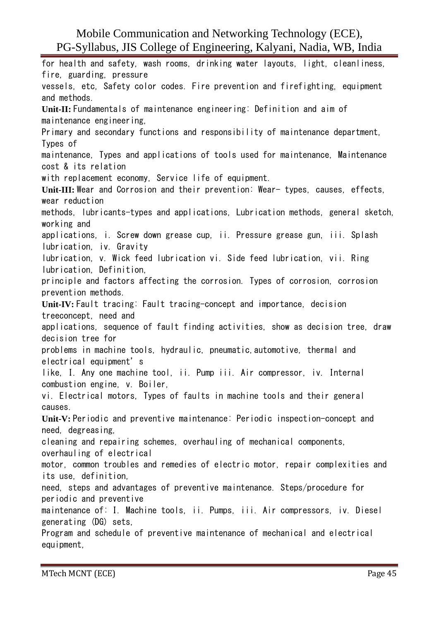for health and safety, wash rooms, drinking water layouts, light, cleanliness, fire, guarding, pressure vessels, etc, Safety color codes. Fire prevention and firefighting, equipment and methods. **Unit-II:** Fundamentals of maintenance engineering: Definition and aim of maintenance engineering, Primary and secondary functions and responsibility of maintenance department, Types of maintenance, Types and applications of tools used for maintenance, Maintenance cost & its relation with replacement economy, Service life of equipment. **Unit-III:** Wear and Corrosion and their prevention: Wear- types, causes, effects, wear reduction methods, lubricants-types and applications, Lubrication methods, general sketch, working and applications, i. Screw down grease cup, ii. Pressure grease gun, iii. Splash lubrication, iv. Gravity lubrication, v. Wick feed lubrication vi. Side feed lubrication, vii. Ring lubrication, Definition, principle and factors affecting the corrosion. Types of corrosion, corrosion prevention methods. **Unit-IV:** Fault tracing: Fault tracing-concept and importance, decision treeconcept, need and applications, sequence of fault finding activities, show as decision tree, draw decision tree for problems in machine tools, hydraulic, pneumatic,automotive, thermal and electrical equipment's like, I. Any one machine tool, ii. Pump iii. Air compressor, iv. Internal combustion engine, v. Boiler, vi. Electrical motors, Types of faults in machine tools and their general causes. **Unit-V:** Periodic and preventive maintenance: Periodic inspection-concept and need, degreasing, cleaning and repairing schemes, overhauling of mechanical components, overhauling of electrical motor, common troubles and remedies of electric motor, repair complexities and its use, definition, need, steps and advantages of preventive maintenance. Steps/procedure for periodic and preventive maintenance of: I. Machine tools, ii. Pumps, iii. Air compressors, iv. Diesel generating (DG) sets, Program and schedule of preventive maintenance of mechanical and electrical equipment,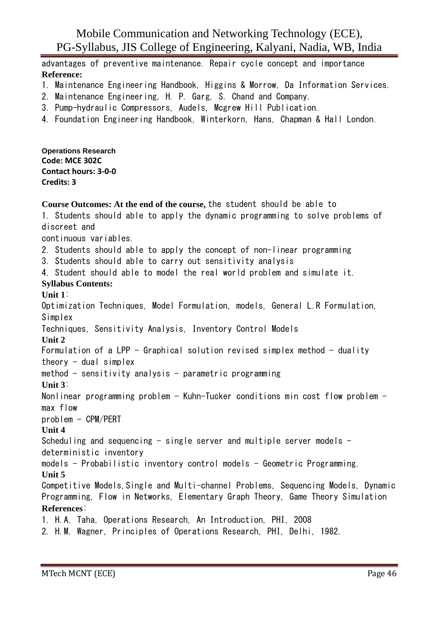advantages of preventive maintenance. Repair cycle concept and importance **Reference:**

- 1. Maintenance Engineering Handbook, Higgins & Morrow, Da Information Services.
- 2. Maintenance Engineering, H. P. Garg, S. Chand and Company.
- 3. Pump-hydraulic Compressors, Audels, Mcgrew Hill Publication.
- 4. Foundation Engineering Handbook, Winterkorn, Hans, Chapman & Hall London.

**Operations Research Code: MCE 302C Contact hours: 3-0-0 Credits: 3**

**Course Outcomes: At the end of the course,** the student should be able to 1. Students should able to apply the dynamic programming to solve problems of discreet and continuous variables. 2. Students should able to apply the concept of non-linear programming 3. Students should able to carry out sensitivity analysis 4. Student should able to model the real world problem and simulate it. **Syllabus Contents: Unit 1**: Optimization Techniques, Model Formulation, models, General L.R Formulation, Simplex Techniques, Sensitivity Analysis, Inventory Control Models **Unit 2** Formulation of a LPP - Graphical solution revised simplex method - duality theory  $-$  dual simplex method  $-$  sensitivity analysis  $-$  parametric programming **Unit 3**: Nonlinear programming problem - Kuhn-Tucker conditions min cost flow problem max flow problem - CPM/PERT **Unit 4** Scheduling and sequencing  $-$  single server and multiple server models  $$ deterministic inventory  $models - Probabilistic$  inventory control models - Geometric Programming. **Unit 5** Competitive Models,Single and Multi-channel Problems, Sequencing Models, Dynamic Programming, Flow in Networks, Elementary Graph Theory, Game Theory Simulation **References**: 1. H.A. Taha, Operations Research, An Introduction, PHI, 2008 2. H.M. Wagner, Principles of Operations Research, PHI, Delhi, 1982.